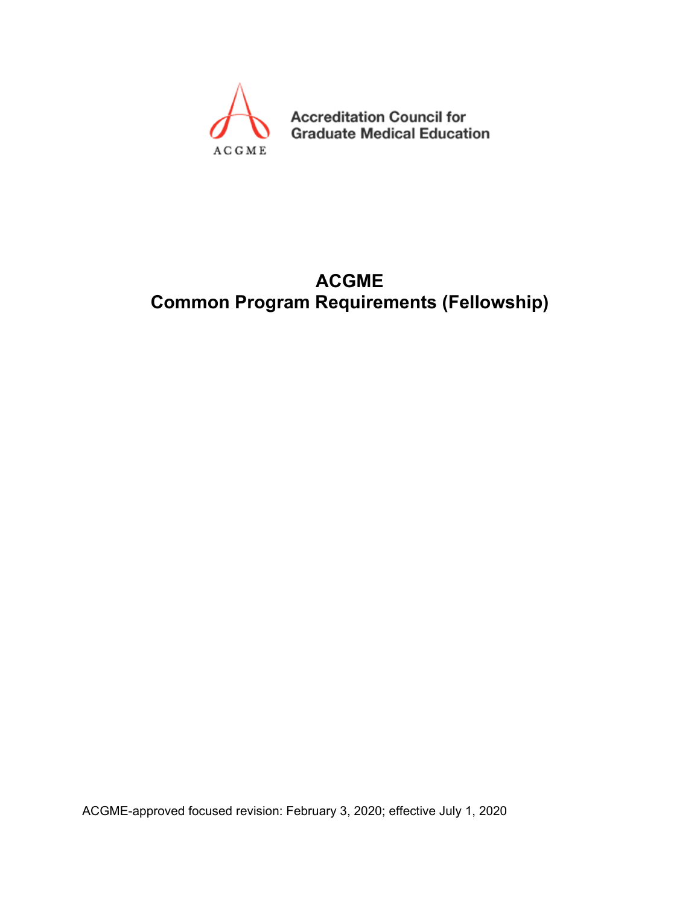

**Accreditation Council for Graduate Medical Education** 

# **ACGME Common Program Requirements (Fellowship)**

ACGME-approved focused revision: February 3, 2020; effective July 1, 2020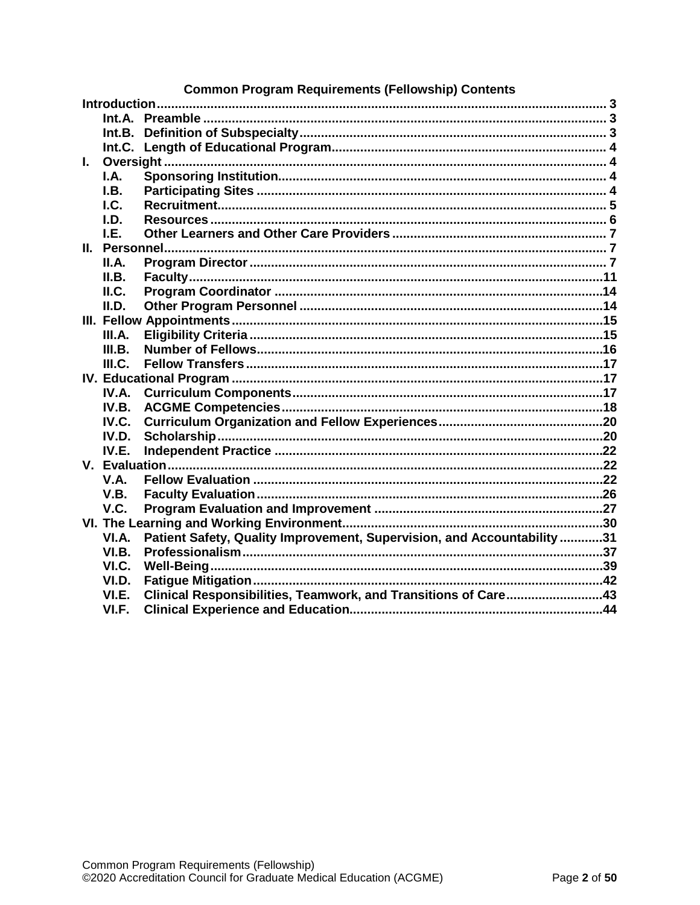| <b>Common Program Requirements (Fellowship) Contents</b> |        |                                                                         |  |  |
|----------------------------------------------------------|--------|-------------------------------------------------------------------------|--|--|
|                                                          |        |                                                                         |  |  |
|                                                          |        |                                                                         |  |  |
|                                                          |        |                                                                         |  |  |
|                                                          |        |                                                                         |  |  |
| L.                                                       |        |                                                                         |  |  |
|                                                          | I.A.   |                                                                         |  |  |
|                                                          | I.B.   |                                                                         |  |  |
|                                                          | $L$    |                                                                         |  |  |
|                                                          | I.D.   |                                                                         |  |  |
|                                                          | I.E.   |                                                                         |  |  |
|                                                          |        |                                                                         |  |  |
|                                                          | II.A.  |                                                                         |  |  |
|                                                          | II.B.  |                                                                         |  |  |
|                                                          | ILC.   |                                                                         |  |  |
|                                                          | II.D.  |                                                                         |  |  |
|                                                          |        |                                                                         |  |  |
|                                                          | III.A. |                                                                         |  |  |
|                                                          | III.B. |                                                                         |  |  |
|                                                          | III.C. |                                                                         |  |  |
|                                                          |        |                                                                         |  |  |
|                                                          | IV.A.  |                                                                         |  |  |
|                                                          | IV.B.  |                                                                         |  |  |
|                                                          | IV.C.  |                                                                         |  |  |
|                                                          | IV.D.  |                                                                         |  |  |
|                                                          | IV.E.  |                                                                         |  |  |
|                                                          |        |                                                                         |  |  |
|                                                          | V.A.   |                                                                         |  |  |
|                                                          | V.B.   |                                                                         |  |  |
|                                                          | V.C.   |                                                                         |  |  |
|                                                          |        |                                                                         |  |  |
|                                                          | VI.A.  | Patient Safety, Quality Improvement, Supervision, and Accountability 31 |  |  |
|                                                          | VI.B.  |                                                                         |  |  |
|                                                          | VI.C.  |                                                                         |  |  |
|                                                          | VI.D.  |                                                                         |  |  |
|                                                          | VI.E.  | Clinical Responsibilities, Teamwork, and Transitions of Care43          |  |  |
|                                                          | VI.F.  |                                                                         |  |  |
|                                                          |        |                                                                         |  |  |

#### Decuiremente (Felle  $m_{\rm e}$  $_{\mathsf{Comm}}$ n Drooro  $\sim$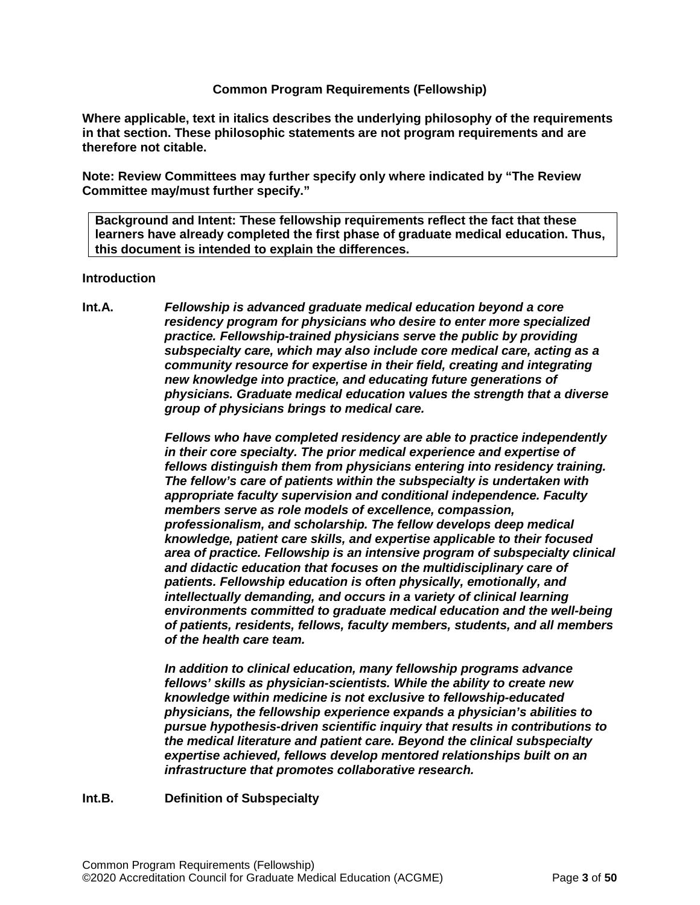#### **Common Program Requirements (Fellowship)**

**Where applicable, text in italics describes the underlying philosophy of the requirements in that section. These philosophic statements are not program requirements and are therefore not citable.**

**Note: Review Committees may further specify only where indicated by "The Review Committee may/must further specify."**

**Background and Intent: These fellowship requirements reflect the fact that these learners have already completed the first phase of graduate medical education. Thus, this document is intended to explain the differences.**

#### <span id="page-2-0"></span>**Introduction**

<span id="page-2-1"></span>**Int.A.** *Fellowship is advanced graduate medical education beyond a core residency program for physicians who desire to enter more specialized practice. Fellowship-trained physicians serve the public by providing subspecialty care, which may also include core medical care, acting as a community resource for expertise in their field, creating and integrating new knowledge into practice, and educating future generations of physicians. Graduate medical education values the strength that a diverse group of physicians brings to medical care.*

> *Fellows who have completed residency are able to practice independently in their core specialty. The prior medical experience and expertise of fellows distinguish them from physicians entering into residency training. The fellow's care of patients within the subspecialty is undertaken with appropriate faculty supervision and conditional independence. Faculty members serve as role models of excellence, compassion, professionalism, and scholarship. The fellow develops deep medical knowledge, patient care skills, and expertise applicable to their focused area of practice. Fellowship is an intensive program of subspecialty clinical and didactic education that focuses on the multidisciplinary care of patients. Fellowship education is often physically, emotionally, and intellectually demanding, and occurs in a variety of clinical learning environments committed to graduate medical education and the well-being of patients, residents, fellows, faculty members, students, and all members of the health care team.*

*In addition to clinical education, many fellowship programs advance fellows' skills as physician-scientists. While the ability to create new knowledge within medicine is not exclusive to fellowship-educated physicians, the fellowship experience expands a physician's abilities to pursue hypothesis-driven scientific inquiry that results in contributions to the medical literature and patient care. Beyond the clinical subspecialty expertise achieved, fellows develop mentored relationships built on an infrastructure that promotes collaborative research.*

<span id="page-2-2"></span>**Int.B. Definition of Subspecialty**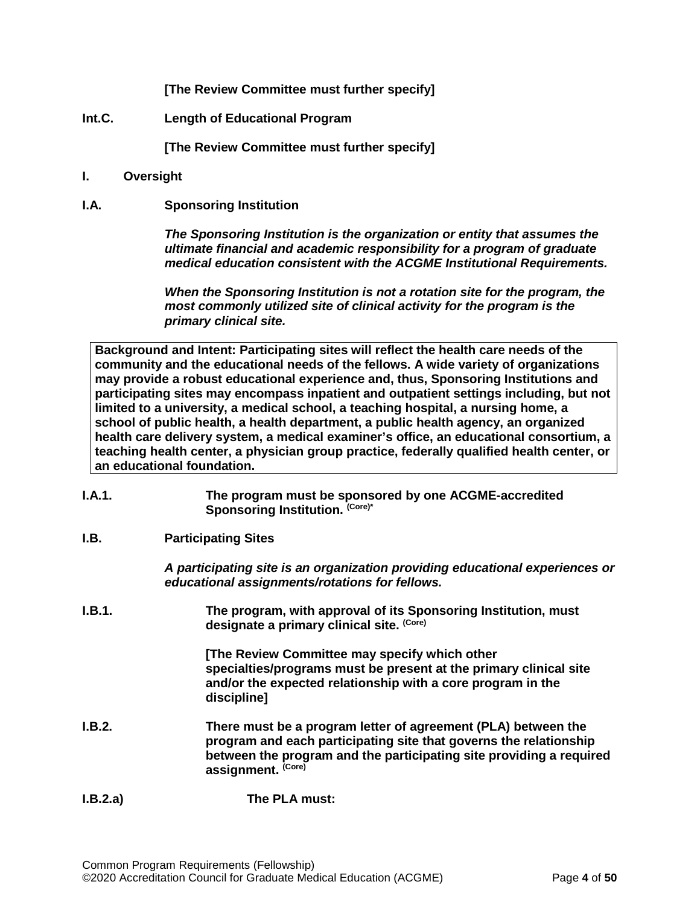**[The Review Committee must further specify]**

<span id="page-3-0"></span>**Int.C. Length of Educational Program**

**[The Review Committee must further specify]**

- <span id="page-3-1"></span>**I. Oversight**
- <span id="page-3-2"></span>**I.A. Sponsoring Institution**

*The Sponsoring Institution is the organization or entity that assumes the ultimate financial and academic responsibility for a program of graduate medical education consistent with the ACGME Institutional Requirements.*

*When the Sponsoring Institution is not a rotation site for the program, the most commonly utilized site of clinical activity for the program is the primary clinical site.*

**Background and Intent: Participating sites will reflect the health care needs of the community and the educational needs of the fellows. A wide variety of organizations may provide a robust educational experience and, thus, Sponsoring Institutions and participating sites may encompass inpatient and outpatient settings including, but not limited to a university, a medical school, a teaching hospital, a nursing home, a school of public health, a health department, a public health agency, an organized health care delivery system, a medical examiner's office, an educational consortium, a teaching health center, a physician group practice, federally qualified health center, or an educational foundation.**

- **I.A.1. The program must be sponsored by one ACGME-accredited**  Sponsoring Institution. (Core)\*
- <span id="page-3-3"></span>**I.B. Participating Sites**

*A participating site is an organization providing educational experiences or educational assignments/rotations for fellows.*

**I.B.1. The program, with approval of its Sponsoring Institution, must designate a primary clinical site. (Core)**

> **[The Review Committee may specify which other specialties/programs must be present at the primary clinical site and/or the expected relationship with a core program in the discipline]**

- **I.B.2. There must be a program letter of agreement (PLA) between the program and each participating site that governs the relationship between the program and the participating site providing a required assignment. (Core)**
- **I.B.2.a) The PLA must:**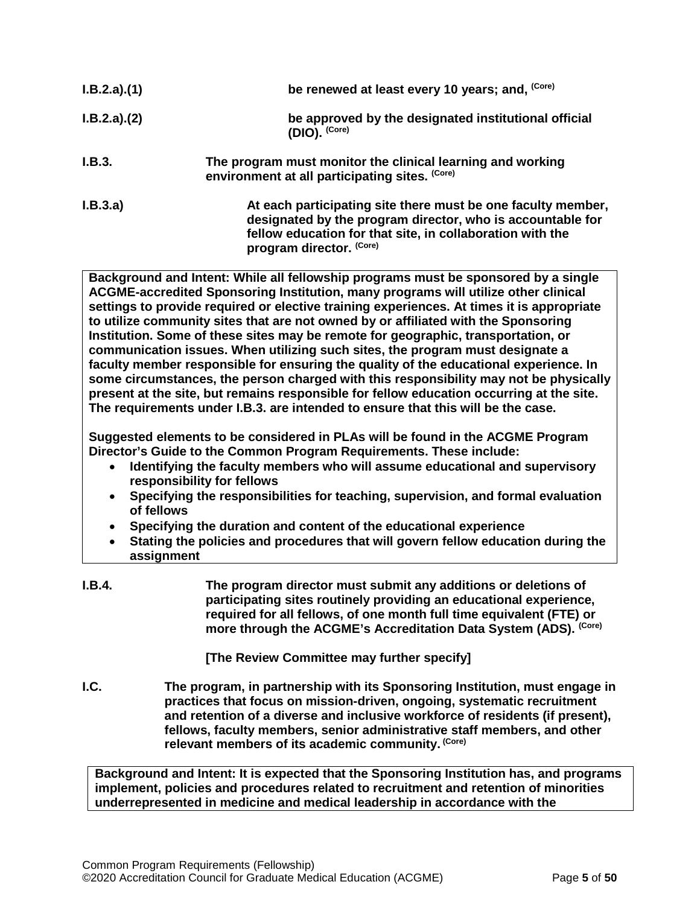| I.B.2.a)(1) | be renewed at least every 10 years; and, (Core)                                                                                                                                                                     |
|-------------|---------------------------------------------------------------------------------------------------------------------------------------------------------------------------------------------------------------------|
| I.B.2.a)(2) | be approved by the designated institutional official<br>$(DIO)$ . $(Core)$                                                                                                                                          |
| I.B.3.      | The program must monitor the clinical learning and working<br>environment at all participating sites. (Core)                                                                                                        |
| I.B.3.a)    | At each participating site there must be one faculty member,<br>designated by the program director, who is accountable for<br>fellow education for that site, in collaboration with the<br>program director. (Core) |

**Background and Intent: While all fellowship programs must be sponsored by a single ACGME-accredited Sponsoring Institution, many programs will utilize other clinical settings to provide required or elective training experiences. At times it is appropriate to utilize community sites that are not owned by or affiliated with the Sponsoring Institution. Some of these sites may be remote for geographic, transportation, or communication issues. When utilizing such sites, the program must designate a faculty member responsible for ensuring the quality of the educational experience. In some circumstances, the person charged with this responsibility may not be physically present at the site, but remains responsible for fellow education occurring at the site. The requirements under I.B.3. are intended to ensure that this will be the case.**

**Suggested elements to be considered in PLAs will be found in the ACGME Program Director's Guide to the Common Program Requirements. These include:**

- **Identifying the faculty members who will assume educational and supervisory responsibility for fellows**
- **Specifying the responsibilities for teaching, supervision, and formal evaluation of fellows**
- **Specifying the duration and content of the educational experience**
- **Stating the policies and procedures that will govern fellow education during the assignment**
- **I.B.4. The program director must submit any additions or deletions of participating sites routinely providing an educational experience, required for all fellows, of one month full time equivalent (FTE) or more through the ACGME's Accreditation Data System (ADS). (Core)**

**[The Review Committee may further specify]**

<span id="page-4-0"></span>**I.C. The program, in partnership with its Sponsoring Institution, must engage in practices that focus on mission-driven, ongoing, systematic recruitment and retention of a diverse and inclusive workforce of residents (if present), fellows, faculty members, senior administrative staff members, and other relevant members of its academic community. (Core)**

**Background and Intent: It is expected that the Sponsoring Institution has, and programs implement, policies and procedures related to recruitment and retention of minorities underrepresented in medicine and medical leadership in accordance with the**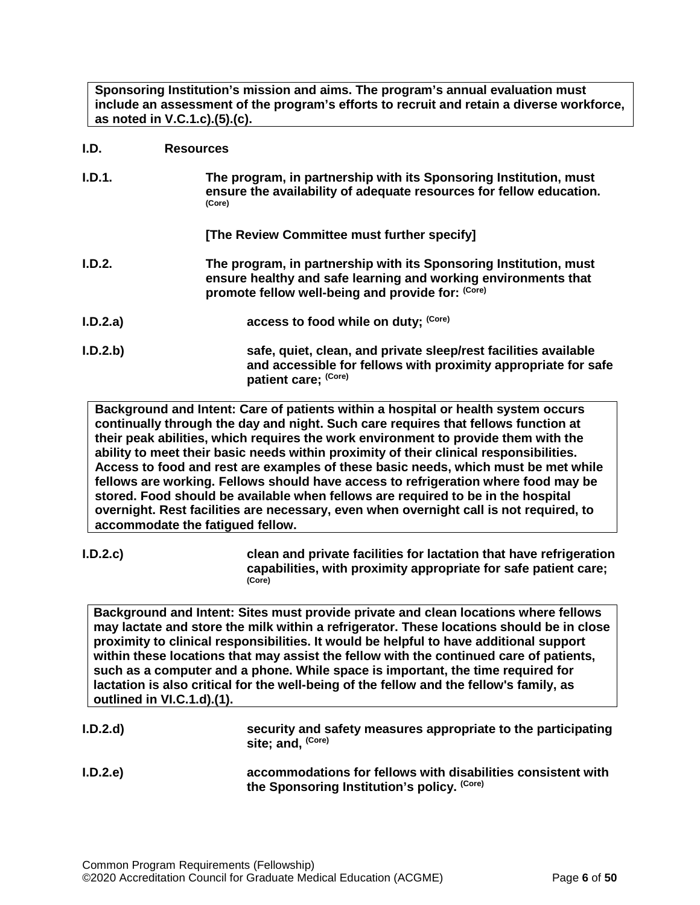**Sponsoring Institution's mission and aims. The program's annual evaluation must include an assessment of the program's efforts to recruit and retain a diverse workforce, as noted in V.C.1.c).(5).(c).**

# <span id="page-5-0"></span>**I.D. Resources**

| I.D.1. | The program, in partnership with its Sponsoring Institution, must<br>ensure the availability of adequate resources for fellow education.<br>(Core)                                       |
|--------|------------------------------------------------------------------------------------------------------------------------------------------------------------------------------------------|
|        | [The Review Committee must further specify]                                                                                                                                              |
| I.D.2. | The program, in partnership with its Sponsoring Institution, must<br>ensure healthy and safe learning and working environments that<br>promote fellow well-being and provide for: (Core) |

- **I.D.2.a) access to food while on duty;** (Core)
- **I.D.2.b) safe, quiet, clean, and private sleep/rest facilities available and accessible for fellows with proximity appropriate for safe patient care; (Core)**

**Background and Intent: Care of patients within a hospital or health system occurs continually through the day and night. Such care requires that fellows function at their peak abilities, which requires the work environment to provide them with the ability to meet their basic needs within proximity of their clinical responsibilities. Access to food and rest are examples of these basic needs, which must be met while fellows are working. Fellows should have access to refrigeration where food may be stored. Food should be available when fellows are required to be in the hospital overnight. Rest facilities are necessary, even when overnight call is not required, to accommodate the fatigued fellow.**

**I.D.2.c) clean and private facilities for lactation that have refrigeration capabilities, with proximity appropriate for safe patient care; (Core)**

**Background and Intent: Sites must provide private and clean locations where fellows may lactate and store the milk within a refrigerator. These locations should be in close proximity to clinical responsibilities. It would be helpful to have additional support within these locations that may assist the fellow with the continued care of patients, such as a computer and a phone. While space is important, the time required for lactation is also critical for the well-being of the fellow and the fellow's family, as outlined in VI.C.1.d).(1).**

| I.D.2.d | security and safety measures appropriate to the participating<br>site; and, <sup>(Core)</sup>               |
|---------|-------------------------------------------------------------------------------------------------------------|
| I.D.2.e | accommodations for fellows with disabilities consistent with<br>the Sponsoring Institution's policy. (Core) |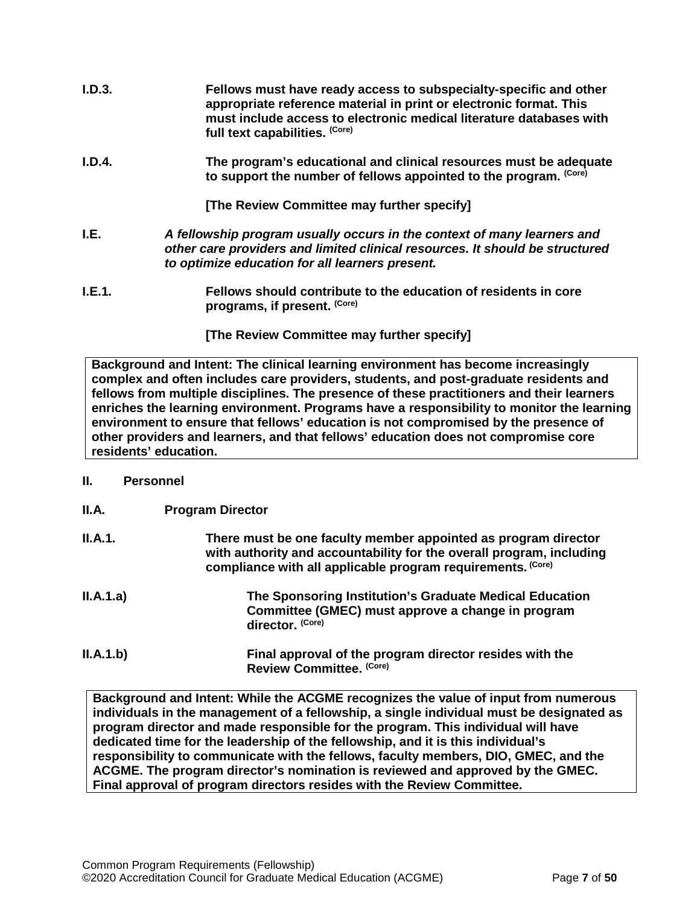- **I.D.3. Fellows must have ready access to subspecialty-specific and other appropriate reference material in print or electronic format. This must include access to electronic medical literature databases with full text capabilities. (Core)**
- **I.D.4. The program's educational and clinical resources must be adequate to support the number of fellows appointed to the program. (Core)**

**[The Review Committee may further specify]**

- <span id="page-6-0"></span>**I.E.** *A fellowship program usually occurs in the context of many learners and other care providers and limited clinical resources. It should be structured to optimize education for all learners present.*
- **I.E.1. Fellows should contribute to the education of residents in core programs, if present. (Core)**

**[The Review Committee may further specify]**

**Background and Intent: The clinical learning environment has become increasingly complex and often includes care providers, students, and post-graduate residents and fellows from multiple disciplines. The presence of these practitioners and their learners enriches the learning environment. Programs have a responsibility to monitor the learning environment to ensure that fellows' education is not compromised by the presence of other providers and learners, and that fellows' education does not compromise core residents' education.**

#### <span id="page-6-1"></span>**II. Personnel**

<span id="page-6-2"></span>

| II.A. | <b>Program Director</b> |
|-------|-------------------------|
|-------|-------------------------|

| II.A.1.   | There must be one faculty member appointed as program director<br>with authority and accountability for the overall program, including<br>compliance with all applicable program requirements. (Core) |
|-----------|-------------------------------------------------------------------------------------------------------------------------------------------------------------------------------------------------------|
| II.A.1.a) | The Sponsoring Institution's Graduate Medical Education<br>Committee (GMEC) must approve a change in program<br>director. (Core)                                                                      |
| ILA.1.b)  | Final approval of the program director resides with the<br>Review Committee. (Core)                                                                                                                   |

**Background and Intent: While the ACGME recognizes the value of input from numerous individuals in the management of a fellowship, a single individual must be designated as program director and made responsible for the program. This individual will have dedicated time for the leadership of the fellowship, and it is this individual's responsibility to communicate with the fellows, faculty members, DIO, GMEC, and the ACGME. The program director's nomination is reviewed and approved by the GMEC. Final approval of program directors resides with the Review Committee.**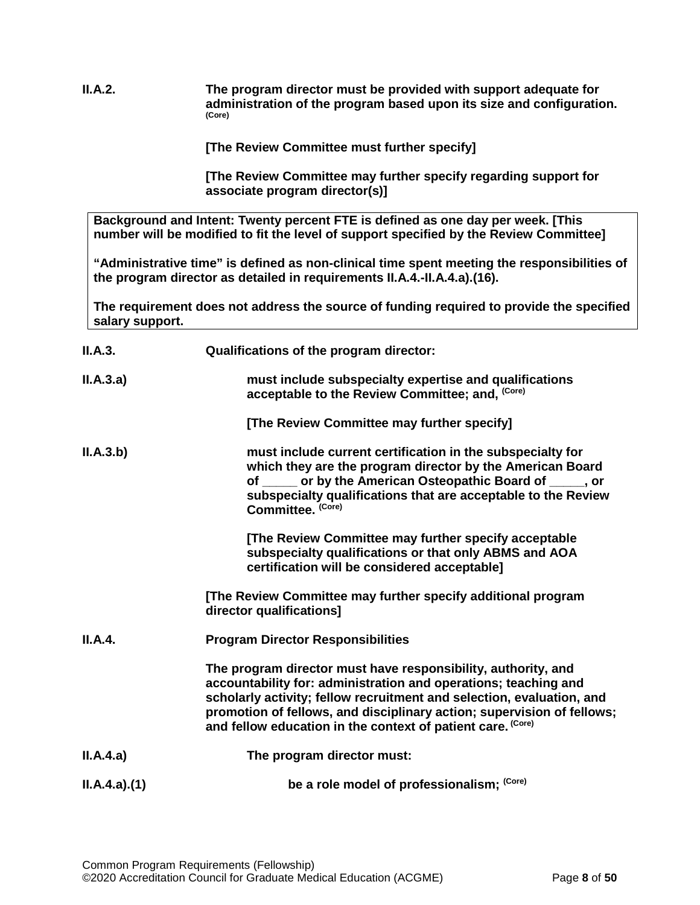**II.A.2. The program director must be provided with support adequate for administration of the program based upon its size and configuration. (Core)**

**[The Review Committee must further specify]**

**[The Review Committee may further specify regarding support for associate program director(s)]**

**Background and Intent: Twenty percent FTE is defined as one day per week. [This number will be modified to fit the level of support specified by the Review Committee]**

**"Administrative time" is defined as non-clinical time spent meeting the responsibilities of the program director as detailed in requirements II.A.4.-II.A.4.a).(16).** 

**The requirement does not address the source of funding required to provide the specified salary support.**

| II.A.3.     | Qualifications of the program director:                                                                                                                                                                                                                                                                                                            |
|-------------|----------------------------------------------------------------------------------------------------------------------------------------------------------------------------------------------------------------------------------------------------------------------------------------------------------------------------------------------------|
| II.A.3.a)   | must include subspecialty expertise and qualifications<br>acceptable to the Review Committee; and, (Core)                                                                                                                                                                                                                                          |
|             | [The Review Committee may further specify]                                                                                                                                                                                                                                                                                                         |
| II.A.3.b)   | must include current certification in the subspecialty for<br>which they are the program director by the American Board<br>of _____ or by the American Osteopathic Board of ____, or<br>subspecialty qualifications that are acceptable to the Review<br>Committee. (Core)                                                                         |
|             | [The Review Committee may further specify acceptable<br>subspecialty qualifications or that only ABMS and AOA<br>certification will be considered acceptable]                                                                                                                                                                                      |
|             | [The Review Committee may further specify additional program<br>director qualifications]                                                                                                                                                                                                                                                           |
| II.A.4.     | <b>Program Director Responsibilities</b>                                                                                                                                                                                                                                                                                                           |
|             | The program director must have responsibility, authority, and<br>accountability for: administration and operations; teaching and<br>scholarly activity; fellow recruitment and selection, evaluation, and<br>promotion of fellows, and disciplinary action; supervision of fellows;<br>and fellow education in the context of patient care. (Core) |
| II.A.4.a)   | The program director must:                                                                                                                                                                                                                                                                                                                         |
| ILA.4.a)(1) | be a role model of professionalism; (Core)                                                                                                                                                                                                                                                                                                         |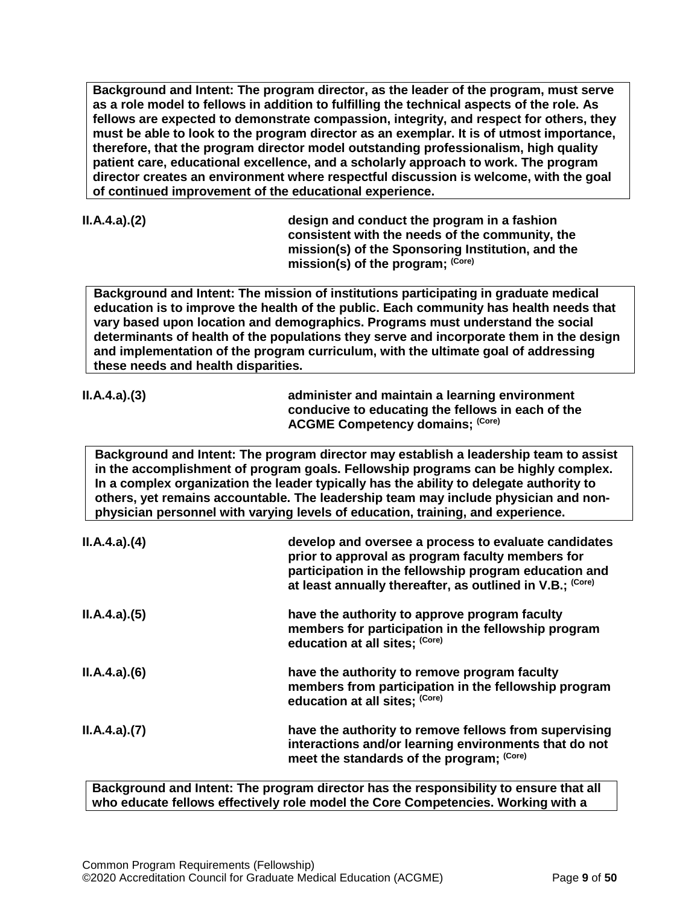**Background and Intent: The program director, as the leader of the program, must serve as a role model to fellows in addition to fulfilling the technical aspects of the role. As fellows are expected to demonstrate compassion, integrity, and respect for others, they must be able to look to the program director as an exemplar. It is of utmost importance, therefore, that the program director model outstanding professionalism, high quality patient care, educational excellence, and a scholarly approach to work. The program director creates an environment where respectful discussion is welcome, with the goal of continued improvement of the educational experience.**

|  |  | ILA.4.a)(2) |
|--|--|-------------|
|--|--|-------------|

**II.A.4.a).(2) design and conduct the program in a fashion consistent with the needs of the community, the mission(s) of the Sponsoring Institution, and the mission(s) of the program; (Core)**

**Background and Intent: The mission of institutions participating in graduate medical education is to improve the health of the public. Each community has health needs that vary based upon location and demographics. Programs must understand the social determinants of health of the populations they serve and incorporate them in the design and implementation of the program curriculum, with the ultimate goal of addressing these needs and health disparities.**

| ILA.4.a)(3) | administer and maintain a learning environment    |
|-------------|---------------------------------------------------|
|             | conducive to educating the fellows in each of the |
|             | <b>ACGME Competency domains; (Core)</b>           |
|             |                                                   |

**Background and Intent: The program director may establish a leadership team to assist in the accomplishment of program goals. Fellowship programs can be highly complex. In a complex organization the leader typically has the ability to delegate authority to others, yet remains accountable. The leadership team may include physician and nonphysician personnel with varying levels of education, training, and experience.**

| ILA.4.a)(4) | develop and oversee a process to evaluate candidates<br>prior to approval as program faculty members for<br>participation in the fellowship program education and<br>at least annually thereafter, as outlined in V.B.; (Core) |
|-------------|--------------------------------------------------------------------------------------------------------------------------------------------------------------------------------------------------------------------------------|
| ILA.4.a)(5) | have the authority to approve program faculty<br>members for participation in the fellowship program<br>education at all sites; (Core)                                                                                         |
| ILA.4.a)(6) | have the authority to remove program faculty<br>members from participation in the fellowship program<br>education at all sites; (Core)                                                                                         |
| ILA.4.a)(7) | have the authority to remove fellows from supervising<br>interactions and/or learning environments that do not<br>meet the standards of the program; (Core)                                                                    |

**Background and Intent: The program director has the responsibility to ensure that all who educate fellows effectively role model the Core Competencies. Working with a**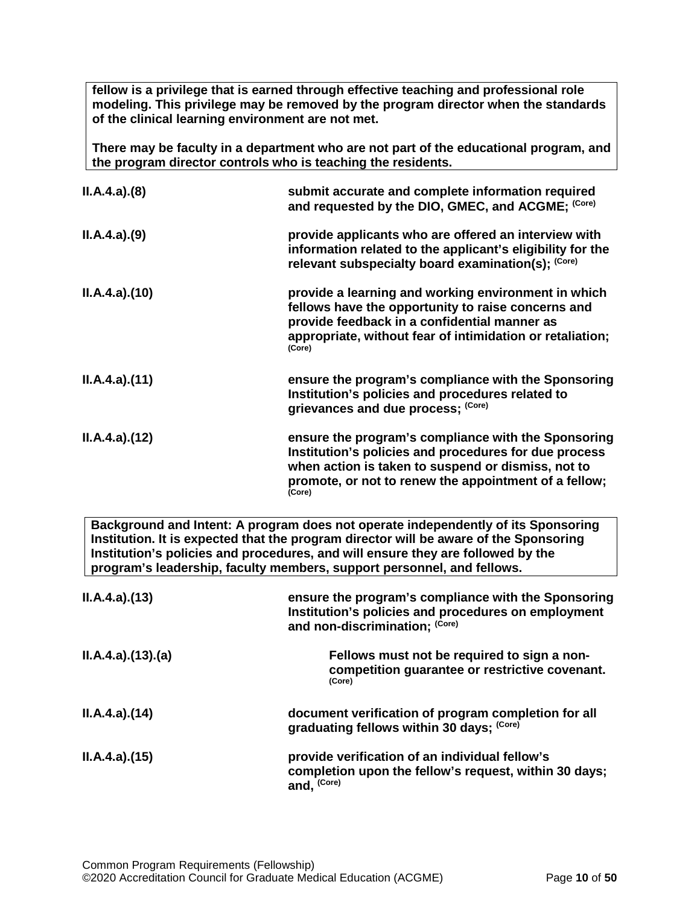**fellow is a privilege that is earned through effective teaching and professional role modeling. This privilege may be removed by the program director when the standards of the clinical learning environment are not met.**

**There may be faculty in a department who are not part of the educational program, and the program director controls who is teaching the residents.**

| ILA.4.a)(8)                                                                       | submit accurate and complete information required<br>and requested by the DIO, GMEC, and ACGME; (Core)                                                                                                                                |
|-----------------------------------------------------------------------------------|---------------------------------------------------------------------------------------------------------------------------------------------------------------------------------------------------------------------------------------|
| ILA.4.a)(9)                                                                       | provide applicants who are offered an interview with<br>information related to the applicant's eligibility for the<br>relevant subspecialty board examination(s); (Core)                                                              |
| ILA.4.a)(10)                                                                      | provide a learning and working environment in which<br>fellows have the opportunity to raise concerns and<br>provide feedback in a confidential manner as<br>appropriate, without fear of intimidation or retaliation;<br>(Core)      |
| ILA.4.a)(11)                                                                      | ensure the program's compliance with the Sponsoring<br>Institution's policies and procedures related to<br>grievances and due process; (Core)                                                                                         |
| ILA.4.a)(12)                                                                      | ensure the program's compliance with the Sponsoring<br>Institution's policies and procedures for due process<br>when action is taken to suspend or dismiss, not to<br>promote, or not to renew the appointment of a fellow;<br>(Core) |
| Background and Intent: A program does not operate independently of its Sponsoring |                                                                                                                                                                                                                                       |

**Institution. It is expected that the program director will be aware of the Sponsoring Institution's policies and procedures, and will ensure they are followed by the program's leadership, faculty members, support personnel, and fellows.**

| ILA.4.a)(13)     | ensure the program's compliance with the Sponsoring<br>Institution's policies and procedures on employment<br>and non-discrimination; (Core) |
|------------------|----------------------------------------------------------------------------------------------------------------------------------------------|
| II.A.4.a)(13)(a) | Fellows must not be required to sign a non-<br>competition guarantee or restrictive covenant.<br>(Core)                                      |
| ILA.4.a)(14)     | document verification of program completion for all<br>graduating fellows within 30 days; (Core)                                             |
| ILA.4.a)(15)     | provide verification of an individual fellow's<br>completion upon the fellow's request, within 30 days;<br>and, (Core)                       |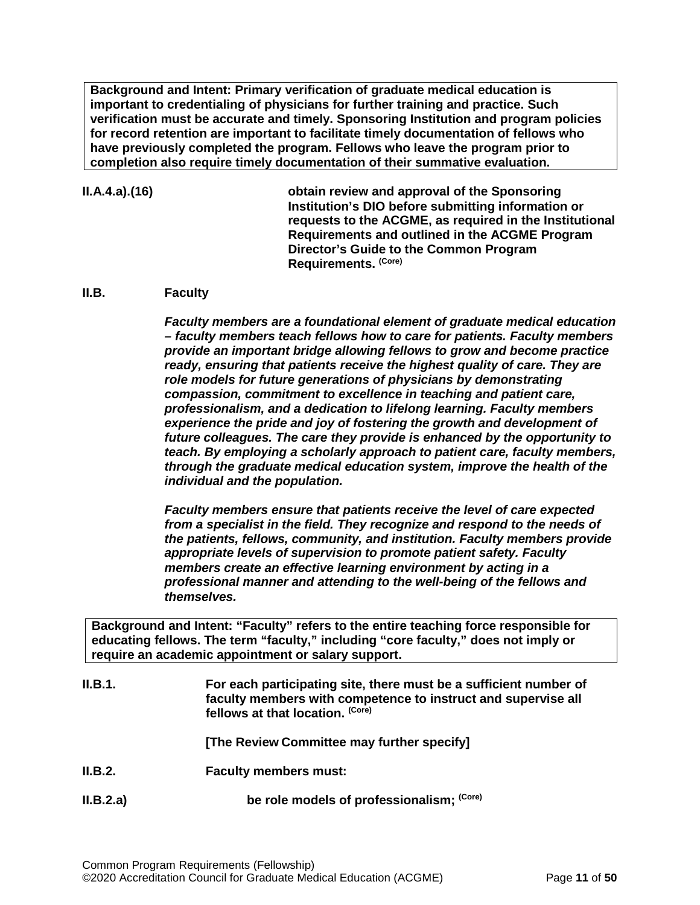**Background and Intent: Primary verification of graduate medical education is important to credentialing of physicians for further training and practice. Such verification must be accurate and timely. Sponsoring Institution and program policies for record retention are important to facilitate timely documentation of fellows who have previously completed the program. Fellows who leave the program prior to completion also require timely documentation of their summative evaluation.**

#### **II.A.4.a).(16) obtain review and approval of the Sponsoring Institution's DIO before submitting information or requests to the ACGME, as required in the Institutional Requirements and outlined in the ACGME Program Director's Guide to the Common Program Requirements. (Core)**

#### <span id="page-10-0"></span>**II.B. Faculty**

*Faculty members are a foundational element of graduate medical education – faculty members teach fellows how to care for patients. Faculty members provide an important bridge allowing fellows to grow and become practice ready, ensuring that patients receive the highest quality of care. They are role models for future generations of physicians by demonstrating compassion, commitment to excellence in teaching and patient care, professionalism, and a dedication to lifelong learning. Faculty members experience the pride and joy of fostering the growth and development of future colleagues. The care they provide is enhanced by the opportunity to teach. By employing a scholarly approach to patient care, faculty members, through the graduate medical education system, improve the health of the individual and the population.*

*Faculty members ensure that patients receive the level of care expected from a specialist in the field. They recognize and respond to the needs of the patients, fellows, community, and institution. Faculty members provide appropriate levels of supervision to promote patient safety. Faculty members create an effective learning environment by acting in a professional manner and attending to the well-being of the fellows and themselves.*

**Background and Intent: "Faculty" refers to the entire teaching force responsible for educating fellows. The term "faculty," including "core faculty," does not imply or require an academic appointment or salary support.**

| II.B.1.   | For each participating site, there must be a sufficient number of<br>faculty members with competence to instruct and supervise all<br>fellows at that location. (Core) |
|-----------|------------------------------------------------------------------------------------------------------------------------------------------------------------------------|
|           | [The Review Committee may further specify]                                                                                                                             |
| II.B.2.   | <b>Faculty members must:</b>                                                                                                                                           |
| II.B.2.a) | be role models of professionalism; (Core)                                                                                                                              |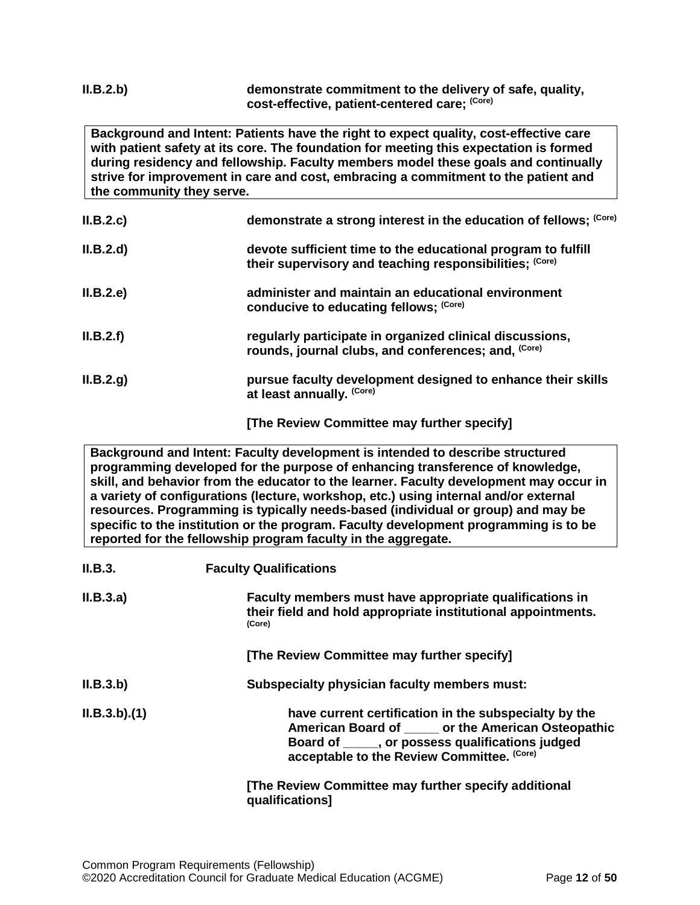#### **II.B.2.b) demonstrate commitment to the delivery of safe, quality, cost-effective, patient-centered care; (Core)**

**Background and Intent: Patients have the right to expect quality, cost-effective care with patient safety at its core. The foundation for meeting this expectation is formed during residency and fellowship. Faculty members model these goals and continually strive for improvement in care and cost, embracing a commitment to the patient and the community they serve.**

| II.B.2.c  | demonstrate a strong interest in the education of fellows; (Core)                                                       |
|-----------|-------------------------------------------------------------------------------------------------------------------------|
| II.B.2.d  | devote sufficient time to the educational program to fulfill<br>their supervisory and teaching responsibilities: (Core) |
| II.B.2.e  | administer and maintain an educational environment<br>conducive to educating fellows; (Core)                            |
| II.B.2.f) | regularly participate in organized clinical discussions,<br>rounds, journal clubs, and conferences; and, (Core)         |
| II.B.2.g. | pursue faculty development designed to enhance their skills<br>at least annually. (Core)                                |

**[The Review Committee may further specify]**

**Background and Intent: Faculty development is intended to describe structured programming developed for the purpose of enhancing transference of knowledge, skill, and behavior from the educator to the learner. Faculty development may occur in a variety of configurations (lecture, workshop, etc.) using internal and/or external resources. Programming is typically needs-based (individual or group) and may be specific to the institution or the program. Faculty development programming is to be reported for the fellowship program faculty in the aggregate.**

| II.B.3.     | <b>Faculty Qualifications</b>                                                                                                                                                                                   |
|-------------|-----------------------------------------------------------------------------------------------------------------------------------------------------------------------------------------------------------------|
| II.B.3.a)   | Faculty members must have appropriate qualifications in<br>their field and hold appropriate institutional appointments.<br>(Core)                                                                               |
|             | [The Review Committee may further specify]                                                                                                                                                                      |
| II.B.3.b)   | Subspecialty physician faculty members must:                                                                                                                                                                    |
| ILB.3.b)(1) | have current certification in the subspecialty by the<br>American Board of ______ or the American Osteopathic<br>Board of _____, or possess qualifications judged<br>acceptable to the Review Committee. (Core) |
|             | [The Review Committee may further specify additional<br>qualifications]                                                                                                                                         |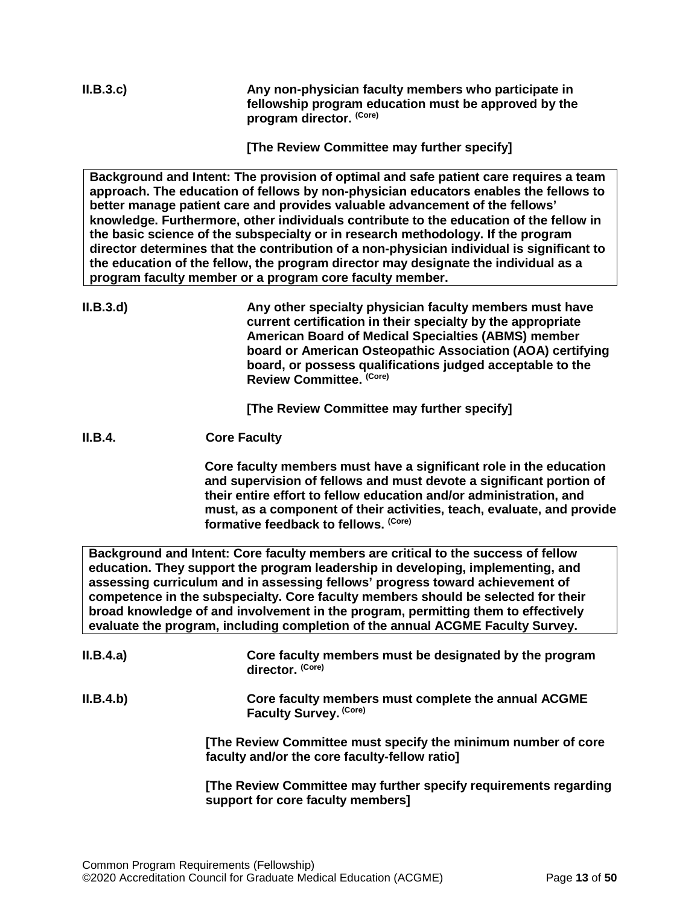**II.B.3.c) Any non-physician faculty members who participate in fellowship program education must be approved by the program director. (Core)**

**[The Review Committee may further specify]**

**Background and Intent: The provision of optimal and safe patient care requires a team approach. The education of fellows by non-physician educators enables the fellows to better manage patient care and provides valuable advancement of the fellows' knowledge. Furthermore, other individuals contribute to the education of the fellow in the basic science of the subspecialty or in research methodology. If the program director determines that the contribution of a non-physician individual is significant to the education of the fellow, the program director may designate the individual as a program faculty member or a program core faculty member.**

**II.B.3.d) Any other specialty physician faculty members must have current certification in their specialty by the appropriate American Board of Medical Specialties (ABMS) member board or American Osteopathic Association (AOA) certifying board, or possess qualifications judged acceptable to the Review Committee. (Core)**

**[The Review Committee may further specify]**

**II.B.4. Core Faculty**

**Core faculty members must have a significant role in the education and supervision of fellows and must devote a significant portion of their entire effort to fellow education and/or administration, and must, as a component of their activities, teach, evaluate, and provide formative feedback to fellows. (Core)**

**Background and Intent: Core faculty members are critical to the success of fellow education. They support the program leadership in developing, implementing, and assessing curriculum and in assessing fellows' progress toward achievement of competence in the subspecialty. Core faculty members should be selected for their broad knowledge of and involvement in the program, permitting them to effectively evaluate the program, including completion of the annual ACGME Faculty Survey.**

| II.B.4.a) | Core faculty members must be designated by the program<br>director. (Core)                                     |
|-----------|----------------------------------------------------------------------------------------------------------------|
| II.B.4.b) | Core faculty members must complete the annual ACGME<br>Faculty Survey. (Core)                                  |
|           | [The Review Committee must specify the minimum number of core<br>faculty and/or the core faculty-fellow ratio] |
|           | FFL a Bardani Aamindia a mari finitana na alfredamento na cita mana                                            |

**[The Review Committee may further specify requirements regarding support for core faculty members]**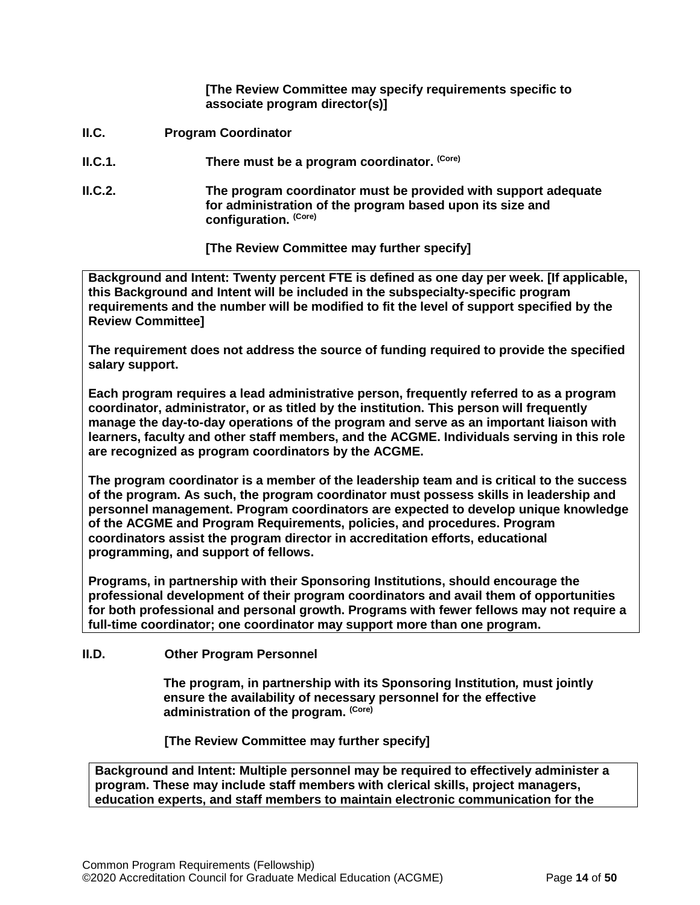**[The Review Committee may specify requirements specific to associate program director(s)]**

- <span id="page-13-0"></span>**II.C. Program Coordinator**
- **II.C.1. There must be a program coordinator.** (Core)
- **II.C.2. The program coordinator must be provided with support adequate for administration of the program based upon its size and configuration. (Core)**

**[The Review Committee may further specify]**

**Background and Intent: Twenty percent FTE is defined as one day per week. [If applicable, this Background and Intent will be included in the subspecialty-specific program requirements and the number will be modified to fit the level of support specified by the Review Committee]**

**The requirement does not address the source of funding required to provide the specified salary support.**

**Each program requires a lead administrative person, frequently referred to as a program coordinator, administrator, or as titled by the institution. This person will frequently manage the day-to-day operations of the program and serve as an important liaison with learners, faculty and other staff members, and the ACGME. Individuals serving in this role are recognized as program coordinators by the ACGME.**

**The program coordinator is a member of the leadership team and is critical to the success of the program. As such, the program coordinator must possess skills in leadership and personnel management. Program coordinators are expected to develop unique knowledge of the ACGME and Program Requirements, policies, and procedures. Program coordinators assist the program director in accreditation efforts, educational programming, and support of fellows.**

**Programs, in partnership with their Sponsoring Institutions, should encourage the professional development of their program coordinators and avail them of opportunities for both professional and personal growth. Programs with fewer fellows may not require a full-time coordinator; one coordinator may support more than one program.** 

<span id="page-13-1"></span>**II.D. Other Program Personnel**

**The program, in partnership with its Sponsoring Institution***,* **must jointly ensure the availability of necessary personnel for the effective administration of the program. (Core)**

**[The Review Committee may further specify]**

**Background and Intent: Multiple personnel may be required to effectively administer a program. These may include staff members with clerical skills, project managers, education experts, and staff members to maintain electronic communication for the**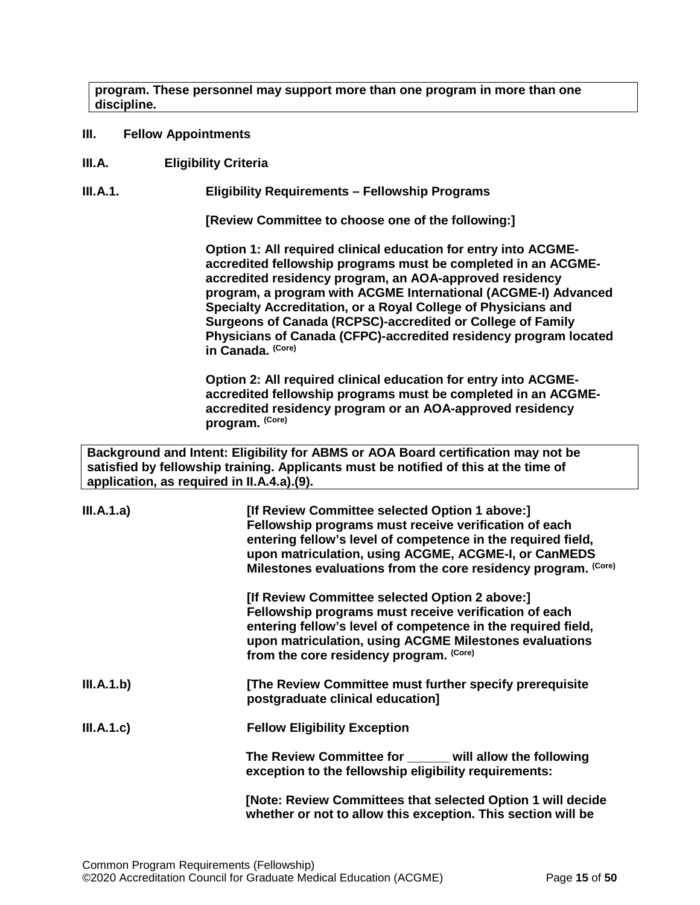**program. These personnel may support more than one program in more than one discipline.**

- <span id="page-14-0"></span>**III. Fellow Appointments**
- <span id="page-14-1"></span>**III.A. Eligibility Criteria**

**III.A.1. Eligibility Requirements – Fellowship Programs**

**[Review Committee to choose one of the following:]**

**Option 1: All required clinical education for entry into ACGMEaccredited fellowship programs must be completed in an ACGMEaccredited residency program, an AOA-approved residency program, a program with ACGME International (ACGME-I) Advanced Specialty Accreditation, or a Royal College of Physicians and Surgeons of Canada (RCPSC)-accredited or College of Family Physicians of Canada (CFPC)-accredited residency program located in Canada. (Core)**

**Option 2: All required clinical education for entry into ACGMEaccredited fellowship programs must be completed in an ACGMEaccredited residency program or an AOA-approved residency program. (Core)**

**Background and Intent: Eligibility for ABMS or AOA Board certification may not be satisfied by fellowship training. Applicants must be notified of this at the time of application, as required in II.A.4.a).(9).**

| III.A.1.a) | [If Review Committee selected Option 1 above:]<br>Fellowship programs must receive verification of each<br>entering fellow's level of competence in the required field,<br>upon matriculation, using ACGME, ACGME-I, or CanMEDS<br>Milestones evaluations from the core residency program. (Core) |
|------------|---------------------------------------------------------------------------------------------------------------------------------------------------------------------------------------------------------------------------------------------------------------------------------------------------|
|            | [If Review Committee selected Option 2 above:]<br>Fellowship programs must receive verification of each<br>entering fellow's level of competence in the required field,<br>upon matriculation, using ACGME Milestones evaluations<br>from the core residency program. (Core)                      |
| III.A.1.b) | [The Review Committee must further specify prerequisite<br>postgraduate clinical education]                                                                                                                                                                                                       |
| III.A.1.c) | <b>Fellow Eligibility Exception</b>                                                                                                                                                                                                                                                               |
|            | The Review Committee for _____ will allow the following<br>exception to the fellowship eligibility requirements:                                                                                                                                                                                  |
|            | [Note: Review Committees that selected Option 1 will decide<br>whether or not to allow this exception. This section will be                                                                                                                                                                       |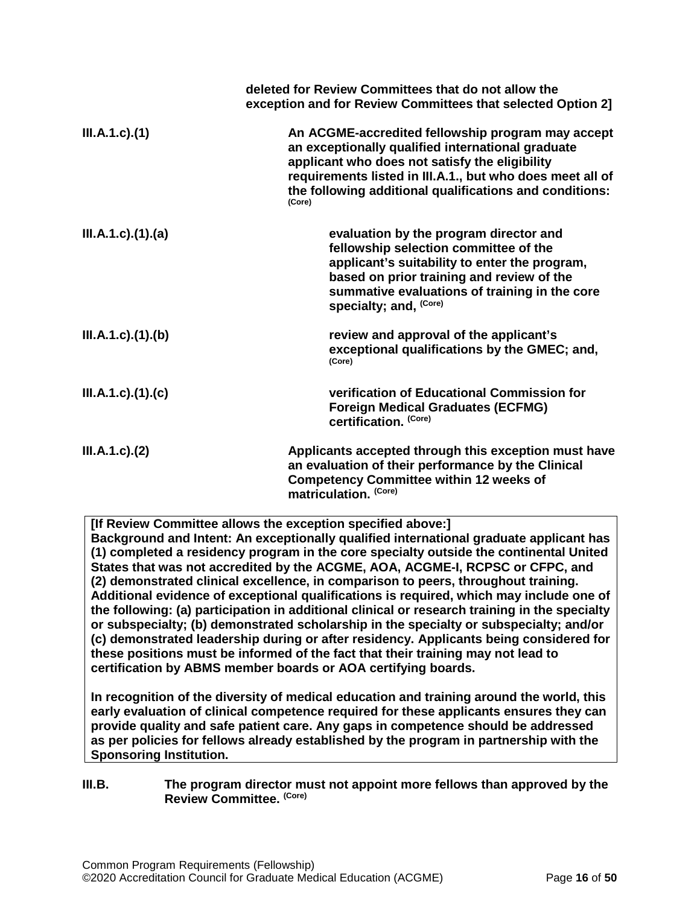|                           | deleted for Review Committees that do not allow the<br>exception and for Review Committees that selected Option 2]                                                                                                                                                                         |
|---------------------------|--------------------------------------------------------------------------------------------------------------------------------------------------------------------------------------------------------------------------------------------------------------------------------------------|
| $III.A.1.c$ ). $(1)$      | An ACGME-accredited fellowship program may accept<br>an exceptionally qualified international graduate<br>applicant who does not satisfy the eligibility<br>requirements listed in III.A.1., but who does meet all of<br>the following additional qualifications and conditions:<br>(Core) |
| $III.A.1.c$ ). $(1).$ (a) | evaluation by the program director and<br>fellowship selection committee of the<br>applicant's suitability to enter the program,<br>based on prior training and review of the<br>summative evaluations of training in the core<br>specialty; and, <sup>(Core)</sup>                        |
| III.A.1.c)(1)(b)          | review and approval of the applicant's<br>exceptional qualifications by the GMEC; and,<br>(Core)                                                                                                                                                                                           |
| $III.A.1.c$ ). $(1).$ (c) | verification of Educational Commission for<br><b>Foreign Medical Graduates (ECFMG)</b><br>certification. (Core)                                                                                                                                                                            |
| $III.A.1.c$ ). $(2)$      | Applicants accepted through this exception must have<br>an evaluation of their performance by the Clinical<br><b>Competency Committee within 12 weeks of</b><br>matriculation. (Core)                                                                                                      |

**[If Review Committee allows the exception specified above:]**

**Background and Intent: An exceptionally qualified international graduate applicant has (1) completed a residency program in the core specialty outside the continental United States that was not accredited by the ACGME, AOA, ACGME-I, RCPSC or CFPC, and (2) demonstrated clinical excellence, in comparison to peers, throughout training. Additional evidence of exceptional qualifications is required, which may include one of the following: (a) participation in additional clinical or research training in the specialty or subspecialty; (b) demonstrated scholarship in the specialty or subspecialty; and/or (c) demonstrated leadership during or after residency. Applicants being considered for these positions must be informed of the fact that their training may not lead to certification by ABMS member boards or AOA certifying boards.**

**In recognition of the diversity of medical education and training around the world, this early evaluation of clinical competence required for these applicants ensures they can provide quality and safe patient care. Any gaps in competence should be addressed as per policies for fellows already established by the program in partnership with the Sponsoring Institution.**

#### <span id="page-15-0"></span>**III.B. The program director must not appoint more fellows than approved by the Review Committee. (Core)**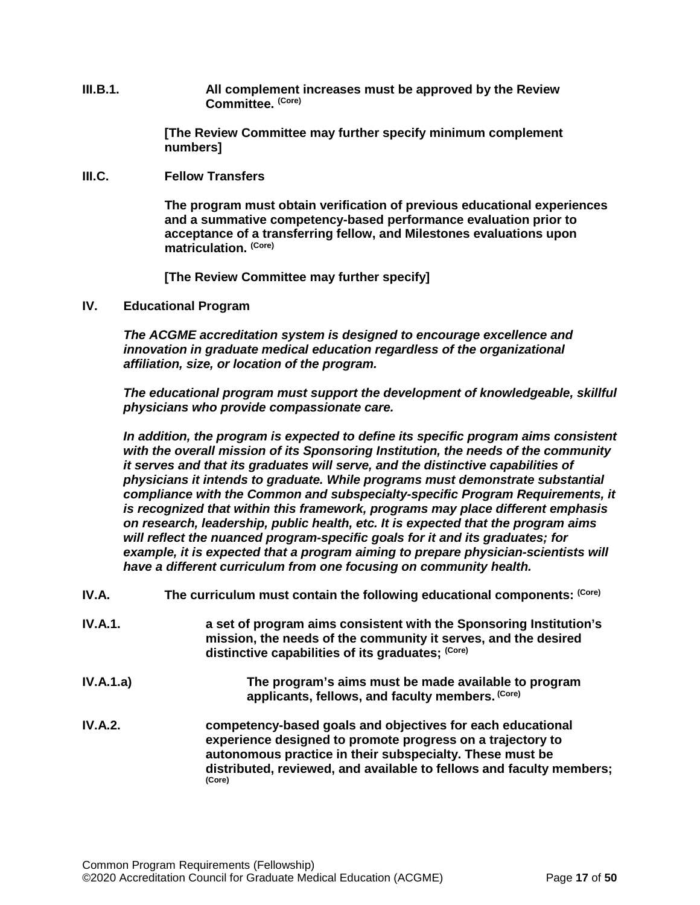**III.B.1. All complement increases must be approved by the Review Committee. (Core)**

> **[The Review Committee may further specify minimum complement numbers]**

<span id="page-16-0"></span>**III.C. Fellow Transfers**

**The program must obtain verification of previous educational experiences and a summative competency-based performance evaluation prior to acceptance of a transferring fellow, and Milestones evaluations upon matriculation. (Core)**

**[The Review Committee may further specify]**

<span id="page-16-1"></span>**IV. Educational Program**

*The ACGME accreditation system is designed to encourage excellence and innovation in graduate medical education regardless of the organizational affiliation, size, or location of the program.*

*The educational program must support the development of knowledgeable, skillful physicians who provide compassionate care.*

*In addition, the program is expected to define its specific program aims consistent with the overall mission of its Sponsoring Institution, the needs of the community it serves and that its graduates will serve, and the distinctive capabilities of physicians it intends to graduate. While programs must demonstrate substantial compliance with the Common and subspecialty-specific Program Requirements, it is recognized that within this framework, programs may place different emphasis on research, leadership, public health, etc. It is expected that the program aims will reflect the nuanced program-specific goals for it and its graduates; for example, it is expected that a program aiming to prepare physician-scientists will have a different curriculum from one focusing on community health.*

- <span id="page-16-2"></span>IV.A. The curriculum must contain the following educational components: (Core)
- **IV.A.1. a set of program aims consistent with the Sponsoring Institution's mission, the needs of the community it serves, and the desired distinctive capabilities of its graduates; (Core)**
- **IV.A.1.a) The program's aims must be made available to program applicants, fellows, and faculty members. (Core)**
- **IV.A.2. competency-based goals and objectives for each educational experience designed to promote progress on a trajectory to autonomous practice in their subspecialty. These must be distributed, reviewed, and available to fellows and faculty members; (Core)**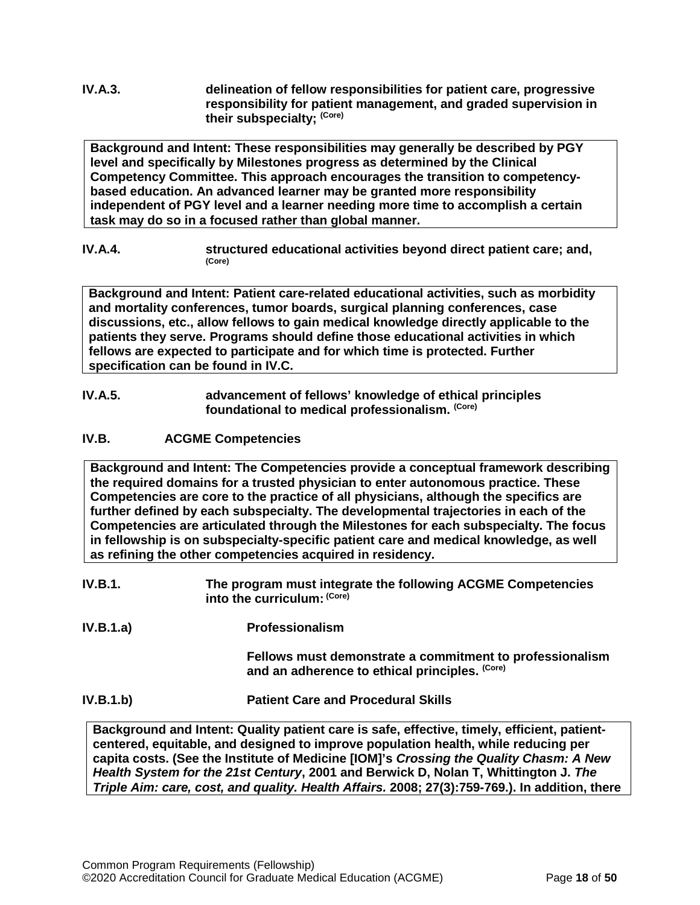# **IV.A.3. delineation of fellow responsibilities for patient care, progressive responsibility for patient management, and graded supervision in their subspecialty; (Core)**

**Background and Intent: These responsibilities may generally be described by PGY level and specifically by Milestones progress as determined by the Clinical Competency Committee. This approach encourages the transition to competencybased education. An advanced learner may be granted more responsibility independent of PGY level and a learner needing more time to accomplish a certain task may do so in a focused rather than global manner.**

**IV.A.4. structured educational activities beyond direct patient care; and,**  $(Core)$ 

**Background and Intent: Patient care-related educational activities, such as morbidity and mortality conferences, tumor boards, surgical planning conferences, case discussions, etc., allow fellows to gain medical knowledge directly applicable to the patients they serve. Programs should define those educational activities in which fellows are expected to participate and for which time is protected. Further specification can be found in IV.C.**

**IV.A.5. advancement of fellows' knowledge of ethical principles foundational to medical professionalism. (Core)**

# <span id="page-17-0"></span>**IV.B. ACGME Competencies**

**Background and Intent: The Competencies provide a conceptual framework describing the required domains for a trusted physician to enter autonomous practice. These Competencies are core to the practice of all physicians, although the specifics are further defined by each subspecialty. The developmental trajectories in each of the Competencies are articulated through the Milestones for each subspecialty. The focus in fellowship is on subspecialty-specific patient care and medical knowledge, as well as refining the other competencies acquired in residency.**

- **IV.B.1. The program must integrate the following ACGME Competencies into the curriculum: (Core)**
- **IV.B.1.a) Professionalism**

**Fellows must demonstrate a commitment to professionalism and an adherence to ethical principles. (Core)**

**IV.B.1.b) Patient Care and Procedural Skills**

**Background and Intent: Quality patient care is safe, effective, timely, efficient, patientcentered, equitable, and designed to improve population health, while reducing per capita costs. (See the Institute of Medicine [IOM]'s** *Crossing the Quality Chasm: A New Health System for the 21st Century***, 2001 and Berwick D, Nolan T, Whittington J.** *The Triple Aim: care, cost, and quality. Health Affairs.* **2008; 27(3):759-769.). In addition, there**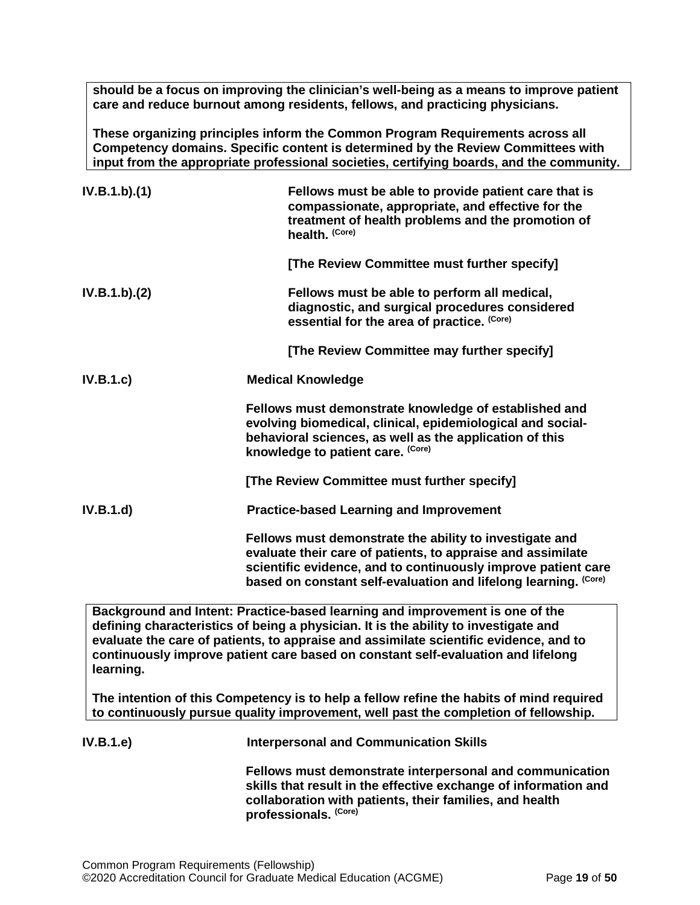**should be a focus on improving the clinician's well-being as a means to improve patient care and reduce burnout among residents, fellows, and practicing physicians.**

**These organizing principles inform the Common Program Requirements across all Competency domains. Specific content is determined by the Review Committees with input from the appropriate professional societies, certifying boards, and the community.**

| IV.B.1.b)(1) | Fellows must be able to provide patient care that is<br>compassionate, appropriate, and effective for the<br>treatment of health problems and the promotion of<br>health. (Core)                                                                           |
|--------------|------------------------------------------------------------------------------------------------------------------------------------------------------------------------------------------------------------------------------------------------------------|
|              | [The Review Committee must further specify]                                                                                                                                                                                                                |
| IV.B.1.b)(2) | Fellows must be able to perform all medical,<br>diagnostic, and surgical procedures considered<br>essential for the area of practice. (Core)                                                                                                               |
|              | [The Review Committee may further specify]                                                                                                                                                                                                                 |
| IV.B.1.c     | <b>Medical Knowledge</b>                                                                                                                                                                                                                                   |
|              | Fellows must demonstrate knowledge of established and<br>evolving biomedical, clinical, epidemiological and social-<br>behavioral sciences, as well as the application of this<br>knowledge to patient care. (Core)                                        |
|              | [The Review Committee must further specify]                                                                                                                                                                                                                |
| IV.B.1.d     | <b>Practice-based Learning and Improvement</b>                                                                                                                                                                                                             |
|              | Fellows must demonstrate the ability to investigate and<br>evaluate their care of patients, to appraise and assimilate<br>scientific evidence, and to continuously improve patient care<br>based on constant self-evaluation and lifelong learning. (Core) |
|              | Background and Intent: Practice-based learning and improvement is one of the<br>defining characteristics of being a physician. It is the ability to investigate and                                                                                        |

**evaluate the care of patients, to appraise and assimilate scientific evidence, and to continuously improve patient care based on constant self-evaluation and lifelong learning.**

**The intention of this Competency is to help a fellow refine the habits of mind required to continuously pursue quality improvement, well past the completion of fellowship.**

| <b>IV.B.1.e)</b> | <b>Interpersonal and Communication Skills</b>                                                                                                                                                                   |
|------------------|-----------------------------------------------------------------------------------------------------------------------------------------------------------------------------------------------------------------|
|                  | Fellows must demonstrate interpersonal and communication<br>skills that result in the effective exchange of information and<br>collaboration with patients, their families, and health<br>professionals. (Core) |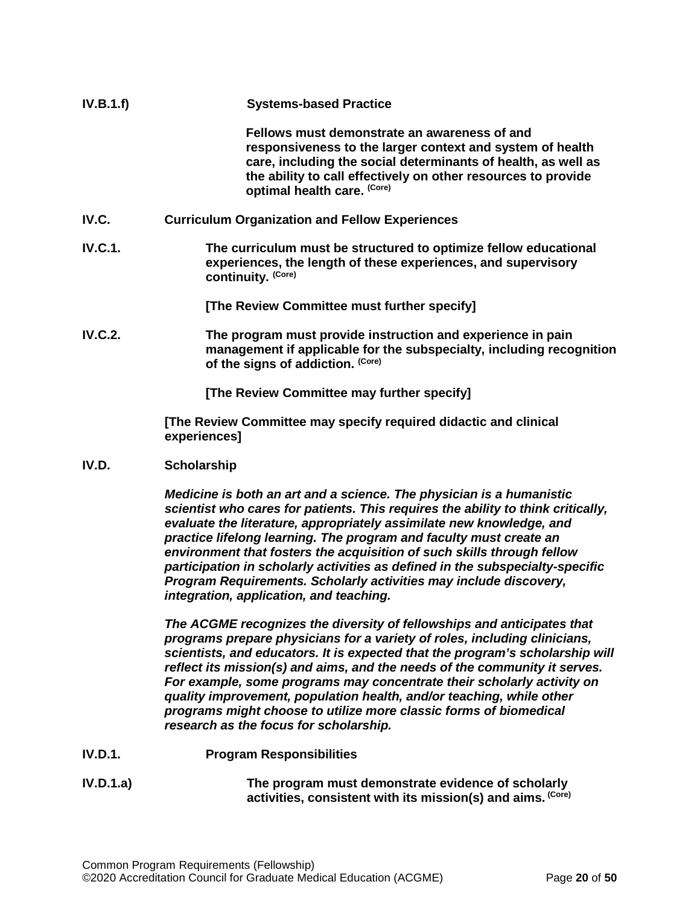<span id="page-19-0"></span>

| IV.B.1.f)      | <b>Systems-based Practice</b>                                                                                                                                                                                                                                              |
|----------------|----------------------------------------------------------------------------------------------------------------------------------------------------------------------------------------------------------------------------------------------------------------------------|
|                | Fellows must demonstrate an awareness of and<br>responsiveness to the larger context and system of health<br>care, including the social determinants of health, as well as<br>the ability to call effectively on other resources to provide<br>optimal health care. (Core) |
| IV.C.          | <b>Curriculum Organization and Fellow Experiences</b>                                                                                                                                                                                                                      |
| <b>IV.C.1.</b> | The curriculum must be structured to optimize fellow educational<br>experiences, the length of these experiences, and supervisory<br>continuity. (Core)                                                                                                                    |
|                | [The Review Committee must further specify]                                                                                                                                                                                                                                |
| <b>IV.C.2.</b> | The program must provide instruction and experience in pain<br>management if applicable for the subspecialty, including recognition<br>of the signs of addiction. (Core)                                                                                                   |
|                | [The Review Committee may further specify]                                                                                                                                                                                                                                 |
|                | [The Review Committee may specify required didactic and clinical<br>experiences]                                                                                                                                                                                           |

#### <span id="page-19-1"></span>**IV.D. Scholarship**

*Medicine is both an art and a science. The physician is a humanistic scientist who cares for patients. This requires the ability to think critically, evaluate the literature, appropriately assimilate new knowledge, and practice lifelong learning. The program and faculty must create an environment that fosters the acquisition of such skills through fellow participation in scholarly activities as defined in the subspecialty-specific Program Requirements. Scholarly activities may include discovery, integration, application, and teaching.*

*The ACGME recognizes the diversity of fellowships and anticipates that programs prepare physicians for a variety of roles, including clinicians, scientists, and educators. It is expected that the program's scholarship will reflect its mission(s) and aims, and the needs of the community it serves. For example, some programs may concentrate their scholarly activity on quality improvement, population health, and/or teaching, while other programs might choose to utilize more classic forms of biomedical research as the focus for scholarship.*

- **IV.D.1. Program Responsibilities**
- **IV.D.1.a) The program must demonstrate evidence of scholarly activities, consistent with its mission(s) and aims. (Core)**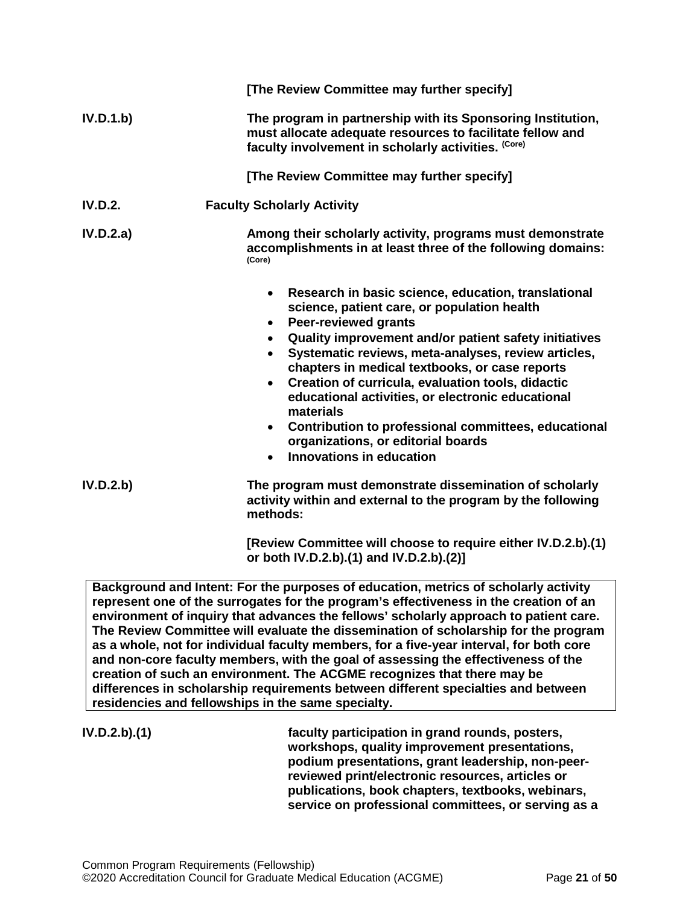|           | [The Review Committee may further specify]                                                                                                                                                                                                                                                                                                                                                                                                                                                                                                                                                                                |
|-----------|---------------------------------------------------------------------------------------------------------------------------------------------------------------------------------------------------------------------------------------------------------------------------------------------------------------------------------------------------------------------------------------------------------------------------------------------------------------------------------------------------------------------------------------------------------------------------------------------------------------------------|
| IV.D.1.b) | The program in partnership with its Sponsoring Institution,<br>must allocate adequate resources to facilitate fellow and<br>faculty involvement in scholarly activities. (Core)                                                                                                                                                                                                                                                                                                                                                                                                                                           |
|           | [The Review Committee may further specify]                                                                                                                                                                                                                                                                                                                                                                                                                                                                                                                                                                                |
| IV.D.2.   | <b>Faculty Scholarly Activity</b>                                                                                                                                                                                                                                                                                                                                                                                                                                                                                                                                                                                         |
| IV.D.2.a) | Among their scholarly activity, programs must demonstrate<br>accomplishments in at least three of the following domains:<br>(Core)                                                                                                                                                                                                                                                                                                                                                                                                                                                                                        |
|           | Research in basic science, education, translational<br>$\bullet$<br>science, patient care, or population health<br><b>Peer-reviewed grants</b><br>$\bullet$<br>• Quality improvement and/or patient safety initiatives<br>Systematic reviews, meta-analyses, review articles,<br>$\bullet$<br>chapters in medical textbooks, or case reports<br>Creation of curricula, evaluation tools, didactic<br>$\bullet$<br>educational activities, or electronic educational<br>materials<br>• Contribution to professional committees, educational<br>organizations, or editorial boards<br>Innovations in education<br>$\bullet$ |
| IV.D.2.b) | The program must demonstrate dissemination of scholarly<br>activity within and external to the program by the following<br>methods:                                                                                                                                                                                                                                                                                                                                                                                                                                                                                       |
|           | [Review Committee will choose to require either IV.D.2.b).(1)<br>or both IV.D.2.b).(1) and IV.D.2.b).(2)]                                                                                                                                                                                                                                                                                                                                                                                                                                                                                                                 |

**Background and Intent: For the purposes of education, metrics of scholarly activity represent one of the surrogates for the program's effectiveness in the creation of an environment of inquiry that advances the fellows' scholarly approach to patient care. The Review Committee will evaluate the dissemination of scholarship for the program as a whole, not for individual faculty members, for a five-year interval, for both core and non-core faculty members, with the goal of assessing the effectiveness of the creation of such an environment. The ACGME recognizes that there may be differences in scholarship requirements between different specialties and between residencies and fellowships in the same specialty.**

**IV.D.2.b).(1) faculty participation in grand rounds, posters, workshops, quality improvement presentations, podium presentations, grant leadership, non-peerreviewed print/electronic resources, articles or publications, book chapters, textbooks, webinars, service on professional committees, or serving as a**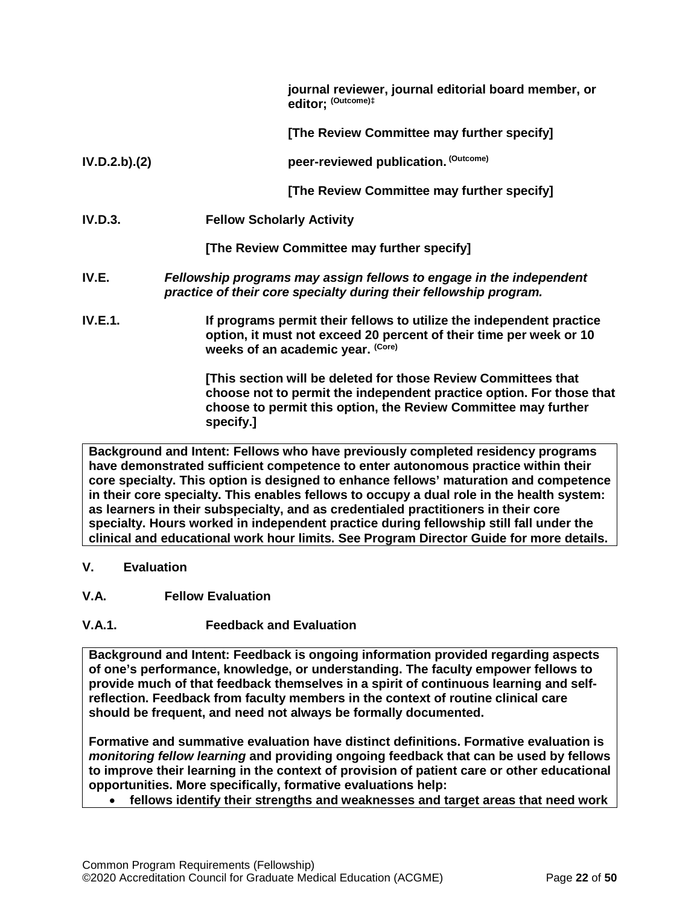|                | journal reviewer, journal editorial board member, or<br>editor; (Outcome)#                                                                                                      |
|----------------|---------------------------------------------------------------------------------------------------------------------------------------------------------------------------------|
|                | [The Review Committee may further specify]                                                                                                                                      |
| IV.D.2.b).(2)  | peer-reviewed publication. (Outcome)                                                                                                                                            |
|                | [The Review Committee may further specify]                                                                                                                                      |
| <b>IV.D.3.</b> | <b>Fellow Scholarly Activity</b>                                                                                                                                                |
|                | [The Review Committee may further specify]                                                                                                                                      |
| IV.E.          | Fellowship programs may assign fellows to engage in the independent<br>practice of their core specialty during their fellowship program.                                        |
| IV.E.1.        | If programs permit their fellows to utilize the independent practice<br>option, it must not exceed 20 percent of their time per week or 10<br>weeks of an academic year. (Core) |
|                | [This section will be deleted for those Review Committees that                                                                                                                  |

<span id="page-21-0"></span>**[This section will be deleted for those Review Committees that choose not to permit the independent practice option. For those that choose to permit this option, the Review Committee may further specify.]**

**Background and Intent: Fellows who have previously completed residency programs have demonstrated sufficient competence to enter autonomous practice within their core specialty. This option is designed to enhance fellows' maturation and competence in their core specialty. This enables fellows to occupy a dual role in the health system: as learners in their subspecialty, and as credentialed practitioners in their core specialty. Hours worked in independent practice during fellowship still fall under the clinical and educational work hour limits. See Program Director Guide for more details.**

- <span id="page-21-1"></span>**V. Evaluation**
- <span id="page-21-2"></span>**V.A. Fellow Evaluation**
- **V.A.1. Feedback and Evaluation**

**Background and Intent: Feedback is ongoing information provided regarding aspects of one's performance, knowledge, or understanding. The faculty empower fellows to provide much of that feedback themselves in a spirit of continuous learning and selfreflection. Feedback from faculty members in the context of routine clinical care should be frequent, and need not always be formally documented.**

**Formative and summative evaluation have distinct definitions. Formative evaluation is**  *monitoring fellow learning* **and providing ongoing feedback that can be used by fellows to improve their learning in the context of provision of patient care or other educational opportunities. More specifically, formative evaluations help:**

• **fellows identify their strengths and weaknesses and target areas that need work**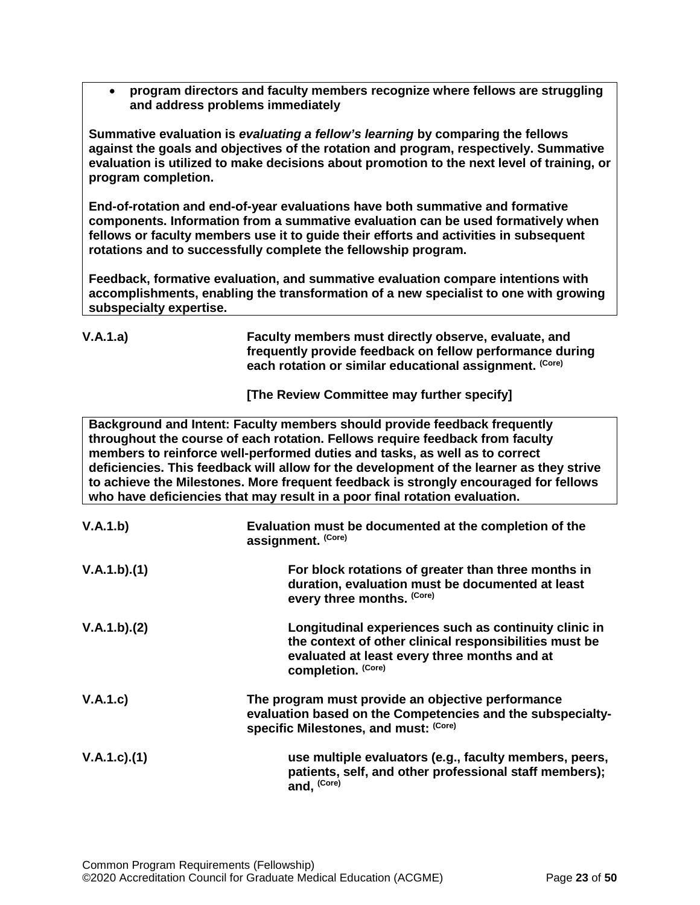• **program directors and faculty members recognize where fellows are struggling and address problems immediately**

**Summative evaluation is** *evaluating a fellow's learning* **by comparing the fellows against the goals and objectives of the rotation and program, respectively. Summative evaluation is utilized to make decisions about promotion to the next level of training, or program completion.**

**End-of-rotation and end-of-year evaluations have both summative and formative components. Information from a summative evaluation can be used formatively when fellows or faculty members use it to guide their efforts and activities in subsequent rotations and to successfully complete the fellowship program.**

**Feedback, formative evaluation, and summative evaluation compare intentions with accomplishments, enabling the transformation of a new specialist to one with growing subspecialty expertise.** 

| V.A.1.a) | Faculty members must directly observe, evaluate, and     |
|----------|----------------------------------------------------------|
|          | frequently provide feedback on fellow performance during |
|          | each rotation or similar educational assignment. (Core)  |

**[The Review Committee may further specify]**

**Background and Intent: Faculty members should provide feedback frequently throughout the course of each rotation. Fellows require feedback from faculty members to reinforce well-performed duties and tasks, as well as to correct deficiencies. This feedback will allow for the development of the learner as they strive to achieve the Milestones. More frequent feedback is strongly encouraged for fellows who have deficiencies that may result in a poor final rotation evaluation.**

| V.A.1.b)          | Evaluation must be documented at the completion of the<br>assignment. (Core)                                                                                                          |
|-------------------|---------------------------------------------------------------------------------------------------------------------------------------------------------------------------------------|
| V.A.1.b)(1)       | For block rotations of greater than three months in<br>duration, evaluation must be documented at least<br>every three months. (Core)                                                 |
| V.A.1.b)(2)       | Longitudinal experiences such as continuity clinic in<br>the context of other clinical responsibilities must be<br>evaluated at least every three months and at<br>completion. (Core) |
| V.A.1.c)          | The program must provide an objective performance<br>evaluation based on the Competencies and the subspecialty-<br>specific Milestones, and must: (Core)                              |
| $V.A.1.c$ . $(1)$ | use multiple evaluators (e.g., faculty members, peers,<br>patients, self, and other professional staff members);<br>and, (Core)                                                       |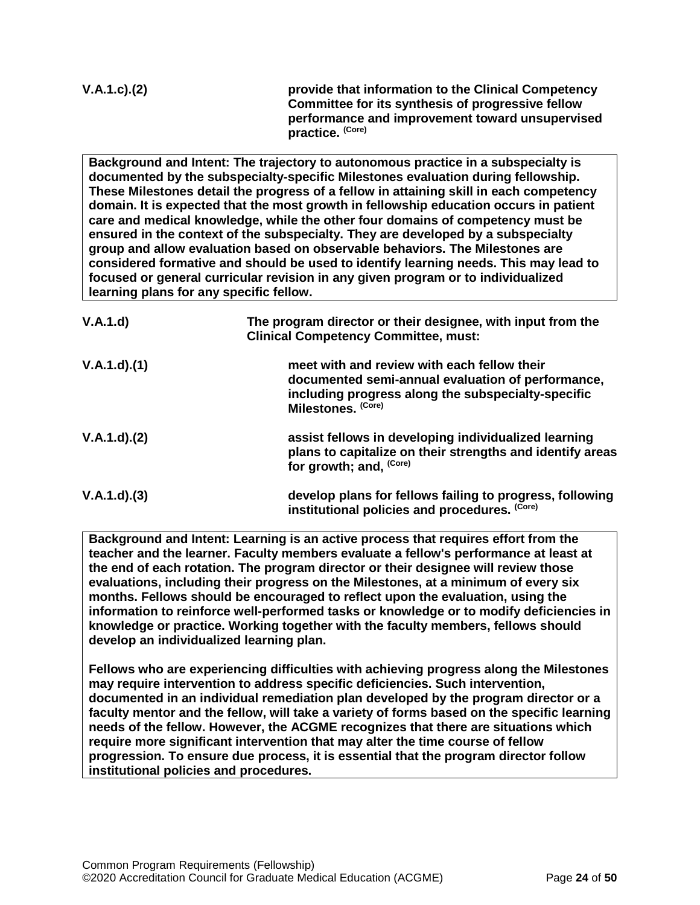| $V.A.1.c$ ). $(2)$ | provide that information to the Clinical Competency                 |
|--------------------|---------------------------------------------------------------------|
|                    | Committee for its synthesis of progressive fellow                   |
|                    | performance and improvement toward unsupervised<br>practice. (Core) |
|                    |                                                                     |

**Background and Intent: The trajectory to autonomous practice in a subspecialty is documented by the subspecialty-specific Milestones evaluation during fellowship. These Milestones detail the progress of a fellow in attaining skill in each competency domain. It is expected that the most growth in fellowship education occurs in patient care and medical knowledge, while the other four domains of competency must be ensured in the context of the subspecialty. They are developed by a subspecialty group and allow evaluation based on observable behaviors. The Milestones are considered formative and should be used to identify learning needs. This may lead to focused or general curricular revision in any given program or to individualized learning plans for any specific fellow.**

| V.A.1.d)          | The program director or their designee, with input from the<br><b>Clinical Competency Committee, must:</b>                                                                   |
|-------------------|------------------------------------------------------------------------------------------------------------------------------------------------------------------------------|
| V.A.1.d)(1)       | meet with and review with each fellow their<br>documented semi-annual evaluation of performance,<br>including progress along the subspecialty-specific<br>Milestones. (Core) |
| $V.A.1.d$ . $(2)$ | assist fellows in developing individualized learning<br>plans to capitalize on their strengths and identify areas<br>for growth; and, (Core)                                 |
| V.A.1.d)(3)       | develop plans for fellows failing to progress, following<br>institutional policies and procedures. (Core)                                                                    |

**Background and Intent: Learning is an active process that requires effort from the teacher and the learner. Faculty members evaluate a fellow's performance at least at the end of each rotation. The program director or their designee will review those evaluations, including their progress on the Milestones, at a minimum of every six months. Fellows should be encouraged to reflect upon the evaluation, using the information to reinforce well-performed tasks or knowledge or to modify deficiencies in knowledge or practice. Working together with the faculty members, fellows should develop an individualized learning plan.**

**Fellows who are experiencing difficulties with achieving progress along the Milestones may require intervention to address specific deficiencies. Such intervention, documented in an individual remediation plan developed by the program director or a faculty mentor and the fellow, will take a variety of forms based on the specific learning needs of the fellow. However, the ACGME recognizes that there are situations which require more significant intervention that may alter the time course of fellow progression. To ensure due process, it is essential that the program director follow institutional policies and procedures.**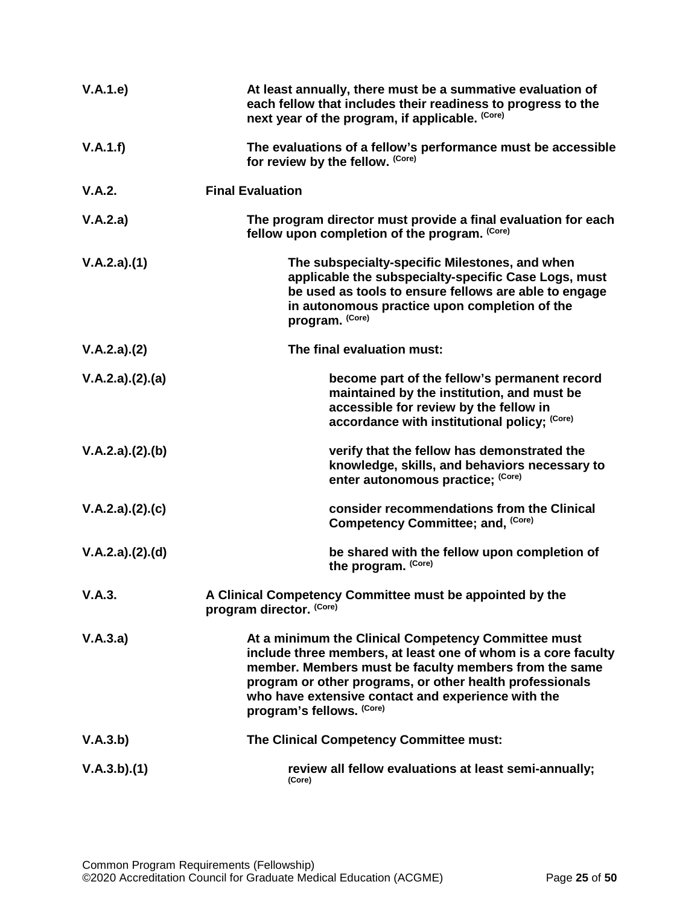| V.A.1.e)        | At least annually, there must be a summative evaluation of<br>each fellow that includes their readiness to progress to the<br>next year of the program, if applicable. (Core)                                                                                                                                                |
|-----------------|------------------------------------------------------------------------------------------------------------------------------------------------------------------------------------------------------------------------------------------------------------------------------------------------------------------------------|
| V.A.1.f)        | The evaluations of a fellow's performance must be accessible<br>for review by the fellow. (Core)                                                                                                                                                                                                                             |
| V.A.2.          | <b>Final Evaluation</b>                                                                                                                                                                                                                                                                                                      |
| V.A.2.a)        | The program director must provide a final evaluation for each<br>fellow upon completion of the program. (Core)                                                                                                                                                                                                               |
| V.A.2.a)(1)     | The subspecialty-specific Milestones, and when<br>applicable the subspecialty-specific Case Logs, must<br>be used as tools to ensure fellows are able to engage<br>in autonomous practice upon completion of the<br>program. (Core)                                                                                          |
| V.A.2.a)(2)     | The final evaluation must:                                                                                                                                                                                                                                                                                                   |
| V.A.2.a)(2).(a) | become part of the fellow's permanent record<br>maintained by the institution, and must be<br>accessible for review by the fellow in<br>accordance with institutional policy; (Core)                                                                                                                                         |
| V.A.2.a)(2).(b) | verify that the fellow has demonstrated the<br>knowledge, skills, and behaviors necessary to<br>enter autonomous practice; (Core)                                                                                                                                                                                            |
| V.A.2.a)(2).(c) | consider recommendations from the Clinical<br>Competency Committee; and, (Core)                                                                                                                                                                                                                                              |
| V.A.2.a)(2).(d) | be shared with the fellow upon completion of<br>the program. (Core)                                                                                                                                                                                                                                                          |
| V.A.3.          | A Clinical Competency Committee must be appointed by the<br>program director. (Core)                                                                                                                                                                                                                                         |
| V.A.3.a)        | At a minimum the Clinical Competency Committee must<br>include three members, at least one of whom is a core faculty<br>member. Members must be faculty members from the same<br>program or other programs, or other health professionals<br>who have extensive contact and experience with the<br>program's fellows. (Core) |
| V.A.3.b)        | The Clinical Competency Committee must:                                                                                                                                                                                                                                                                                      |
| V.A.3.b)(1)     | review all fellow evaluations at least semi-annually;<br>(Core)                                                                                                                                                                                                                                                              |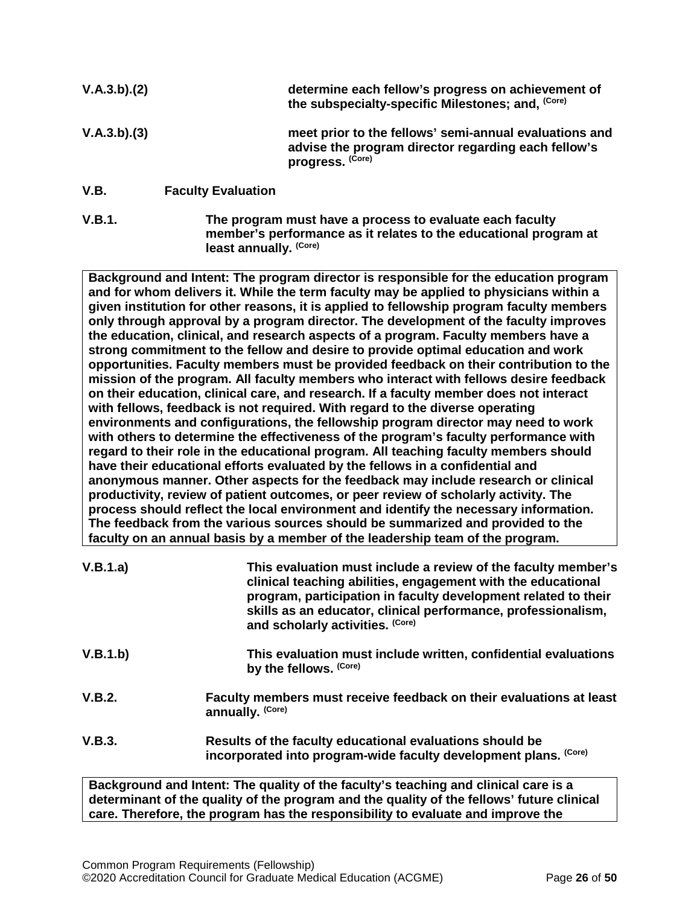| V.A.3.b)(2) |                           | determine each fellow's progress on achievement of<br>the subspecialty-specific Milestones; and, (Core)                           |
|-------------|---------------------------|-----------------------------------------------------------------------------------------------------------------------------------|
| V.A.3.b)(3) |                           | meet prior to the fellows' semi-annual evaluations and<br>advise the program director regarding each fellow's<br>progress. (Core) |
| V.B.        | <b>Faculty Evaluation</b> |                                                                                                                                   |

<span id="page-25-0"></span>**V.B.1. The program must have a process to evaluate each faculty member's performance as it relates to the educational program at least annually. (Core)**

**Background and Intent: The program director is responsible for the education program and for whom delivers it. While the term faculty may be applied to physicians within a given institution for other reasons, it is applied to fellowship program faculty members only through approval by a program director. The development of the faculty improves the education, clinical, and research aspects of a program. Faculty members have a strong commitment to the fellow and desire to provide optimal education and work opportunities. Faculty members must be provided feedback on their contribution to the mission of the program. All faculty members who interact with fellows desire feedback on their education, clinical care, and research. If a faculty member does not interact with fellows, feedback is not required. With regard to the diverse operating environments and configurations, the fellowship program director may need to work with others to determine the effectiveness of the program's faculty performance with regard to their role in the educational program. All teaching faculty members should have their educational efforts evaluated by the fellows in a confidential and anonymous manner. Other aspects for the feedback may include research or clinical productivity, review of patient outcomes, or peer review of scholarly activity. The process should reflect the local environment and identify the necessary information. The feedback from the various sources should be summarized and provided to the faculty on an annual basis by a member of the leadership team of the program.**

| V.B.1.a) | This evaluation must include a review of the faculty member's<br>clinical teaching abilities, engagement with the educational<br>program, participation in faculty development related to their<br>skills as an educator, clinical performance, professionalism,<br>and scholarly activities. (Core) |
|----------|------------------------------------------------------------------------------------------------------------------------------------------------------------------------------------------------------------------------------------------------------------------------------------------------------|
| V.B.1.b) | This evaluation must include written, confidential evaluations<br>by the fellows. (Core)                                                                                                                                                                                                             |
| V.B.2.   | Faculty members must receive feedback on their evaluations at least<br>annually. (Core)                                                                                                                                                                                                              |
| V.B.3.   | Results of the faculty educational evaluations should be<br>incorporated into program-wide faculty development plans. (Core)                                                                                                                                                                         |
|          | Dealer real and latent. The modifical the feasibile teaching and albeiral again. In                                                                                                                                                                                                                  |

**Background and Intent: The quality of the faculty's teaching and clinical care is a determinant of the quality of the program and the quality of the fellows' future clinical care. Therefore, the program has the responsibility to evaluate and improve the**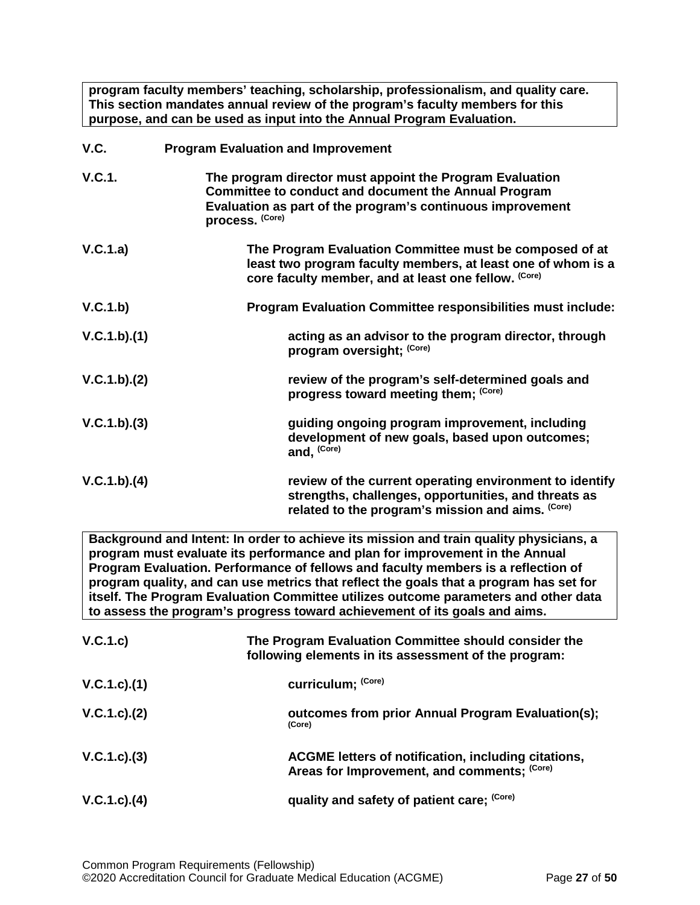**program faculty members' teaching, scholarship, professionalism, and quality care. This section mandates annual review of the program's faculty members for this purpose, and can be used as input into the Annual Program Evaluation.**

<span id="page-26-0"></span>

| V.C.          | <b>Program Evaluation and Improvement</b>                                                                                                                                                                |
|---------------|----------------------------------------------------------------------------------------------------------------------------------------------------------------------------------------------------------|
| <b>V.C.1.</b> | The program director must appoint the Program Evaluation<br><b>Committee to conduct and document the Annual Program</b><br>Evaluation as part of the program's continuous improvement<br>process. (Core) |
| V.C.1.a)      | The Program Evaluation Committee must be composed of at<br>least two program faculty members, at least one of whom is a<br>core faculty member, and at least one fellow. (Core)                          |
| V.C.1.b)      | Program Evaluation Committee responsibilities must include:                                                                                                                                              |
| V.C.1.b)(1)   | acting as an advisor to the program director, through<br>program oversight; (Core)                                                                                                                       |
| V.C.1.b)(2)   | review of the program's self-determined goals and<br>progress toward meeting them; (Core)                                                                                                                |
| V.C.1.b)(3)   | guiding ongoing program improvement, including<br>development of new goals, based upon outcomes;<br>and, (Core)                                                                                          |
| V.C.1.b)(4)   | review of the current operating environment to identify<br>strengths, challenges, opportunities, and threats as<br>related to the program's mission and aims. (Core)                                     |

**Background and Intent: In order to achieve its mission and train quality physicians, a program must evaluate its performance and plan for improvement in the Annual Program Evaluation. Performance of fellows and faculty members is a reflection of program quality, and can use metrics that reflect the goals that a program has set for itself. The Program Evaluation Committee utilizes outcome parameters and other data to assess the program's progress toward achievement of its goals and aims.**

| V.C.1.c)           | The Program Evaluation Committee should consider the<br>following elements in its assessment of the program: |
|--------------------|--------------------------------------------------------------------------------------------------------------|
| V.C.1.c).(1)       | curriculum; (Core)                                                                                           |
| V.C.1.c.2)         | outcomes from prior Annual Program Evaluation(s);<br>(Core)                                                  |
| $V.C.1.c).$ (3)    | ACGME letters of notification, including citations,<br>Areas for Improvement, and comments; (Core)           |
| $V.C.1.c$ ). $(4)$ | quality and safety of patient care; (Core)                                                                   |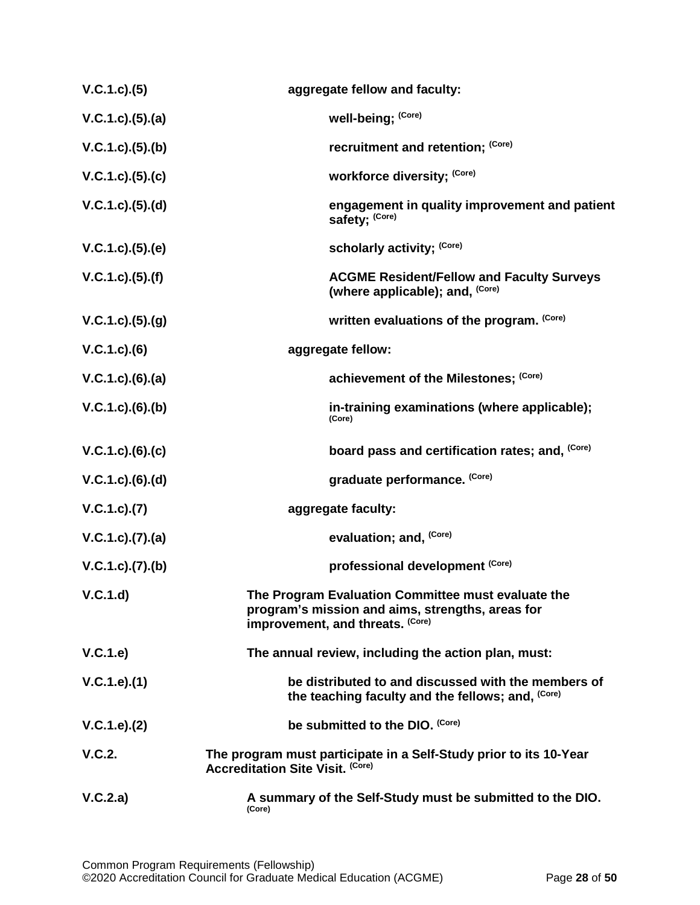| V.C.1.c.3(5)             | aggregate fellow and faculty:                                                                                                              |
|--------------------------|--------------------------------------------------------------------------------------------------------------------------------------------|
| $V.C.1.c).$ (5).(a)      | well-being; (Core)                                                                                                                         |
| V.C.1.c. (5). (b)        | recruitment and retention; (Core)                                                                                                          |
| V.C.1.c. (5). (c)        | workforce diversity; (Core)                                                                                                                |
| V.C.1.c. (5). (d)        | engagement in quality improvement and patient<br>safety; (Core)                                                                            |
| V.C.1.c. (5). (e)        | scholarly activity; (Core)                                                                                                                 |
| $V.C.1.c.$ (5) (f)       | <b>ACGME Resident/Fellow and Faculty Surveys</b><br>(where applicable); and, (Core)                                                        |
| V.C.1.c).(5).(g)         | written evaluations of the program. (Core)                                                                                                 |
| $V.C.1.c.$ (6)           | aggregate fellow:                                                                                                                          |
| $V.C.1.c).$ $(6).$ $(a)$ | achievement of the Milestones; (Core)                                                                                                      |
| $V.C.1.c).$ (6).(b)      | in-training examinations (where applicable);<br>(Core)                                                                                     |
| V.C.1.c).(6).(c)         | board pass and certification rates; and, (Core)                                                                                            |
| $V.C.1.c.$ (6).(d)       | graduate performance. (Core)                                                                                                               |
| V.C.1.c.7(7)             | aggregate faculty:                                                                                                                         |
| V.C.1.c).(7).(a)         | evaluation; and, <sup>(Core)</sup>                                                                                                         |
| V.C.1.c. (7). (b)        | professional development (Core)                                                                                                            |
| V.C.1.d)                 | The Program Evaluation Committee must evaluate the<br>program's mission and aims, strengths, areas for<br>improvement, and threats. (Core) |
| V.C.1.e)                 | The annual review, including the action plan, must:                                                                                        |
| V.C.1.e).(1)             | be distributed to and discussed with the members of<br>the teaching faculty and the fellows; and, (Core)                                   |
| V.C.1.e). (2)            | be submitted to the DIO. (Core)                                                                                                            |
| V.C.2.                   | The program must participate in a Self-Study prior to its 10-Year<br><b>Accreditation Site Visit. (Core)</b>                               |
| V.C.2.a)                 | A summary of the Self-Study must be submitted to the DIO.<br>(Core)                                                                        |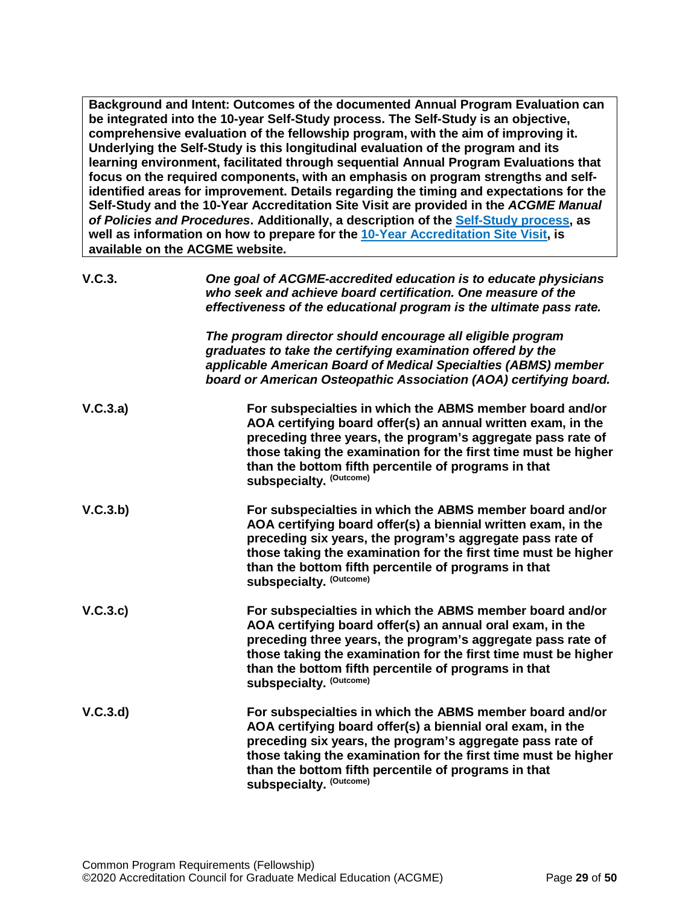**Background and Intent: Outcomes of the documented Annual Program Evaluation can be integrated into the 10-year Self-Study process. The Self-Study is an objective, comprehensive evaluation of the fellowship program, with the aim of improving it. Underlying the Self-Study is this longitudinal evaluation of the program and its learning environment, facilitated through sequential Annual Program Evaluations that focus on the required components, with an emphasis on program strengths and selfidentified areas for improvement. Details regarding the timing and expectations for the Self-Study and the 10-Year Accreditation Site Visit are provided in the** *ACGME Manual of Policies and Procedures***. Additionally, a description of the [Self-Study process,](http://acgme.org/What-We-Do/Accreditation/Self-Study) as well as information on how to prepare for the [10-Year Accreditation Site Visit,](http://www.acgme.org/What-We-Do/Accreditation/Site-Visit/Eight-Steps-to-Prepare-for-the-10-Year-Accreditation-Site-Visit) is available on the ACGME website.**

| V.C.3.   | One goal of ACGME-accredited education is to educate physicians<br>who seek and achieve board certification. One measure of the<br>effectiveness of the educational program is the ultimate pass rate.                                                                                                                                              |
|----------|-----------------------------------------------------------------------------------------------------------------------------------------------------------------------------------------------------------------------------------------------------------------------------------------------------------------------------------------------------|
|          | The program director should encourage all eligible program<br>graduates to take the certifying examination offered by the<br>applicable American Board of Medical Specialties (ABMS) member<br>board or American Osteopathic Association (AOA) certifying board.                                                                                    |
| V.C.3.a) | For subspecialties in which the ABMS member board and/or<br>AOA certifying board offer(s) an annual written exam, in the<br>preceding three years, the program's aggregate pass rate of<br>those taking the examination for the first time must be higher<br>than the bottom fifth percentile of programs in that<br><b>subspecialty. (Outcome)</b> |
| V.C.3.b) | For subspecialties in which the ABMS member board and/or<br>AOA certifying board offer(s) a biennial written exam, in the<br>preceding six years, the program's aggregate pass rate of<br>those taking the examination for the first time must be higher<br>than the bottom fifth percentile of programs in that<br><b>subspecialty. (Outcome)</b>  |
| V.C.3.c) | For subspecialties in which the ABMS member board and/or<br>AOA certifying board offer(s) an annual oral exam, in the<br>preceding three years, the program's aggregate pass rate of<br>those taking the examination for the first time must be higher<br>than the bottom fifth percentile of programs in that<br><b>subspecialty. (Outcome)</b>    |
| V.C.3.d  | For subspecialties in which the ABMS member board and/or<br>AOA certifying board offer(s) a biennial oral exam, in the<br>preceding six years, the program's aggregate pass rate of<br>those taking the examination for the first time must be higher<br>than the bottom fifth percentile of programs in that<br><b>subspecialty. (Outcome)</b>     |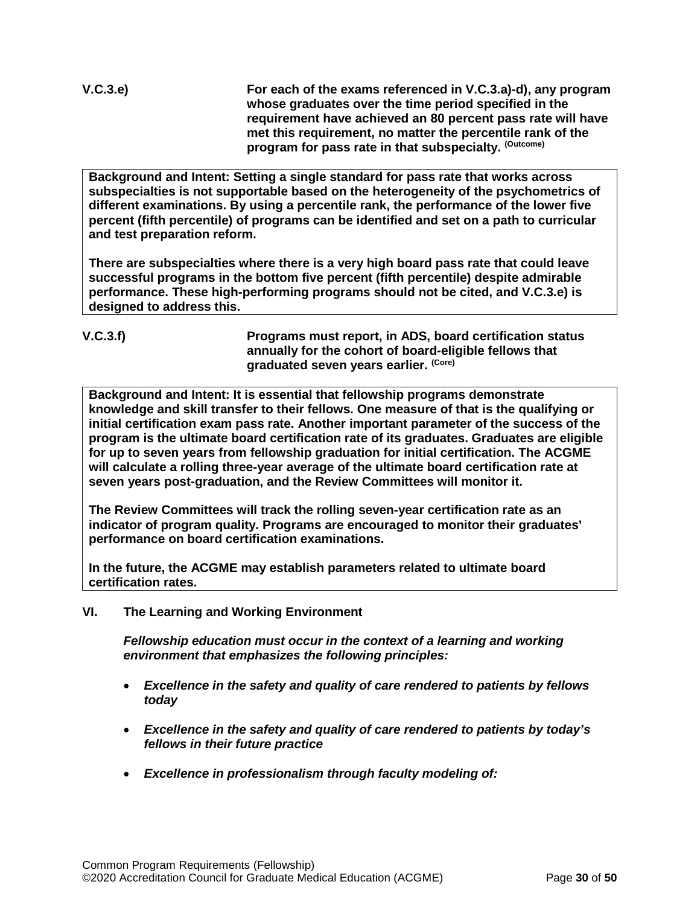**V.C.3.e) For each of the exams referenced in V.C.3.a)-d), any program whose graduates over the time period specified in the requirement have achieved an 80 percent pass rate will have met this requirement, no matter the percentile rank of the program for pass rate in that subspecialty. (Outcome)**

**Background and Intent: Setting a single standard for pass rate that works across subspecialties is not supportable based on the heterogeneity of the psychometrics of different examinations. By using a percentile rank, the performance of the lower five percent (fifth percentile) of programs can be identified and set on a path to curricular and test preparation reform.**

**There are subspecialties where there is a very high board pass rate that could leave successful programs in the bottom five percent (fifth percentile) despite admirable performance. These high-performing programs should not be cited, and V.C.3.e) is designed to address this.**

# **V.C.3.f) Programs must report, in ADS, board certification status annually for the cohort of board-eligible fellows that graduated seven years earlier. (Core)**

**Background and Intent: It is essential that fellowship programs demonstrate knowledge and skill transfer to their fellows. One measure of that is the qualifying or initial certification exam pass rate. Another important parameter of the success of the program is the ultimate board certification rate of its graduates. Graduates are eligible for up to seven years from fellowship graduation for initial certification. The ACGME will calculate a rolling three-year average of the ultimate board certification rate at seven years post-graduation, and the Review Committees will monitor it.**

**The Review Committees will track the rolling seven-year certification rate as an indicator of program quality. Programs are encouraged to monitor their graduates' performance on board certification examinations.**

**In the future, the ACGME may establish parameters related to ultimate board certification rates.**

<span id="page-29-0"></span>**VI. The Learning and Working Environment**

*Fellowship education must occur in the context of a learning and working environment that emphasizes the following principles:*

- *Excellence in the safety and quality of care rendered to patients by fellows today*
- *Excellence in the safety and quality of care rendered to patients by today's fellows in their future practice*
- *Excellence in professionalism through faculty modeling of:*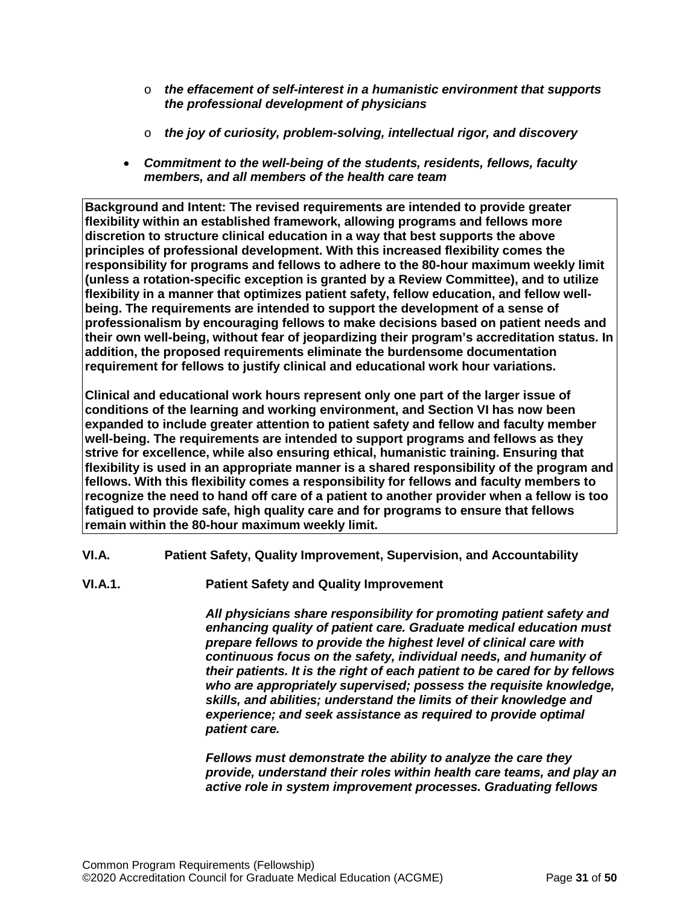- o *the effacement of self-interest in a humanistic environment that supports the professional development of physicians*
- o *the joy of curiosity, problem-solving, intellectual rigor, and discovery*
- *Commitment to the well-being of the students, residents, fellows, faculty members, and all members of the health care team*

**Background and Intent: The revised requirements are intended to provide greater flexibility within an established framework, allowing programs and fellows more discretion to structure clinical education in a way that best supports the above principles of professional development. With this increased flexibility comes the responsibility for programs and fellows to adhere to the 80-hour maximum weekly limit (unless a rotation-specific exception is granted by a Review Committee), and to utilize flexibility in a manner that optimizes patient safety, fellow education, and fellow wellbeing. The requirements are intended to support the development of a sense of professionalism by encouraging fellows to make decisions based on patient needs and their own well-being, without fear of jeopardizing their program's accreditation status. In addition, the proposed requirements eliminate the burdensome documentation requirement for fellows to justify clinical and educational work hour variations.**

**Clinical and educational work hours represent only one part of the larger issue of conditions of the learning and working environment, and Section VI has now been expanded to include greater attention to patient safety and fellow and faculty member well-being. The requirements are intended to support programs and fellows as they strive for excellence, while also ensuring ethical, humanistic training. Ensuring that flexibility is used in an appropriate manner is a shared responsibility of the program and fellows. With this flexibility comes a responsibility for fellows and faculty members to recognize the need to hand off care of a patient to another provider when a fellow is too fatigued to provide safe, high quality care and for programs to ensure that fellows remain within the 80-hour maximum weekly limit.**

- <span id="page-30-0"></span>**VI.A. Patient Safety, Quality Improvement, Supervision, and Accountability**
- **VI.A.1. Patient Safety and Quality Improvement**

*All physicians share responsibility for promoting patient safety and enhancing quality of patient care. Graduate medical education must prepare fellows to provide the highest level of clinical care with continuous focus on the safety, individual needs, and humanity of their patients. It is the right of each patient to be cared for by fellows who are appropriately supervised; possess the requisite knowledge, skills, and abilities; understand the limits of their knowledge and experience; and seek assistance as required to provide optimal patient care.*

*Fellows must demonstrate the ability to analyze the care they provide, understand their roles within health care teams, and play an active role in system improvement processes. Graduating fellows*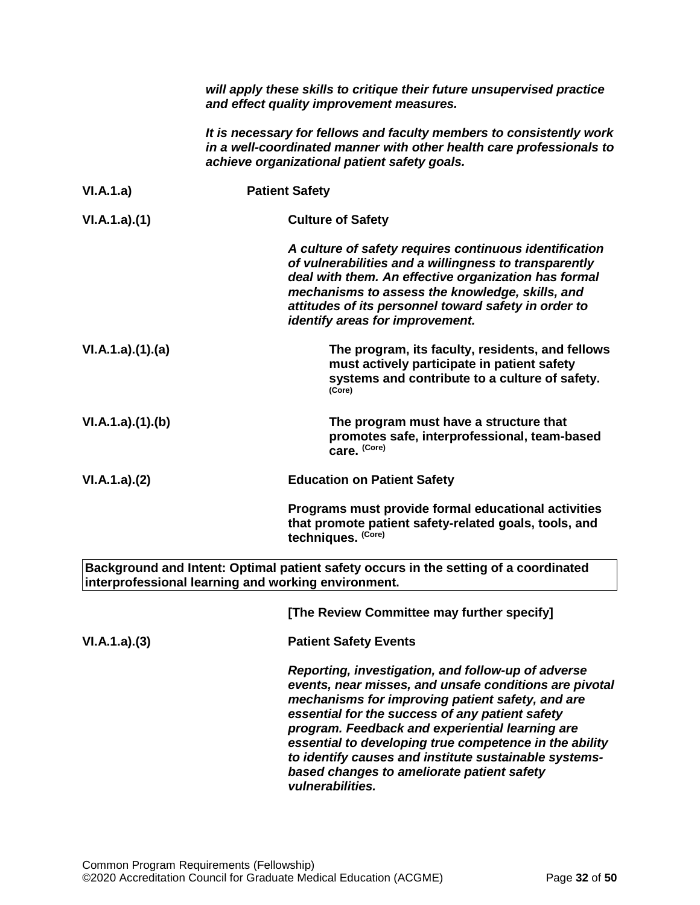|                 | will apply these skills to critique their future unsupervised practice<br>and effect quality improvement measures.                                                                                                                                                                                                                                                                                                                                          |
|-----------------|-------------------------------------------------------------------------------------------------------------------------------------------------------------------------------------------------------------------------------------------------------------------------------------------------------------------------------------------------------------------------------------------------------------------------------------------------------------|
|                 | It is necessary for fellows and faculty members to consistently work<br>in a well-coordinated manner with other health care professionals to<br>achieve organizational patient safety goals.                                                                                                                                                                                                                                                                |
| VI.A.1.a)       | <b>Patient Safety</b>                                                                                                                                                                                                                                                                                                                                                                                                                                       |
| VI.A.1.a)(1)    | <b>Culture of Safety</b>                                                                                                                                                                                                                                                                                                                                                                                                                                    |
|                 | A culture of safety requires continuous identification<br>of vulnerabilities and a willingness to transparently<br>deal with them. An effective organization has formal<br>mechanisms to assess the knowledge, skills, and<br>attitudes of its personnel toward safety in order to<br>identify areas for improvement.                                                                                                                                       |
| VI.A.1.a)(1)(a) | The program, its faculty, residents, and fellows<br>must actively participate in patient safety<br>systems and contribute to a culture of safety.<br>(Core)                                                                                                                                                                                                                                                                                                 |
| VI.A.1.a)(1)(b) | The program must have a structure that<br>promotes safe, interprofessional, team-based<br>care. (Core)                                                                                                                                                                                                                                                                                                                                                      |
| VI.A.1.a)(2)    | <b>Education on Patient Safety</b>                                                                                                                                                                                                                                                                                                                                                                                                                          |
|                 | Programs must provide formal educational activities<br>that promote patient safety-related goals, tools, and<br>techniques. (Core)                                                                                                                                                                                                                                                                                                                          |
|                 | Background and Intent: Optimal patient safety occurs in the setting of a coordinated<br>interprofessional learning and working environment.                                                                                                                                                                                                                                                                                                                 |
|                 | [The Review Committee may further specify]                                                                                                                                                                                                                                                                                                                                                                                                                  |
| VI.A.1.a)(3)    | <b>Patient Safety Events</b>                                                                                                                                                                                                                                                                                                                                                                                                                                |
|                 | Reporting, investigation, and follow-up of adverse<br>events, near misses, and unsafe conditions are pivotal<br>mechanisms for improving patient safety, and are<br>essential for the success of any patient safety<br>program. Feedback and experiential learning are<br>essential to developing true competence in the ability<br>to identify causes and institute sustainable systems-<br>based changes to ameliorate patient safety<br>vulnerabilities. |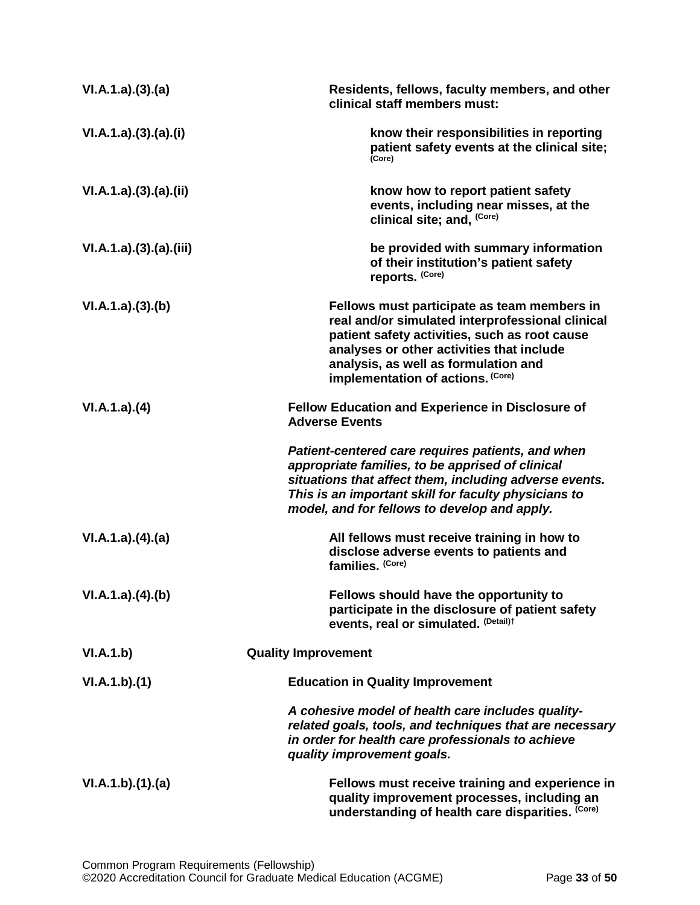| VI.A.1.a)(3).(a)       | Residents, fellows, faculty members, and other<br>clinical staff members must:                                                                                                                                                                                             |
|------------------------|----------------------------------------------------------------------------------------------------------------------------------------------------------------------------------------------------------------------------------------------------------------------------|
| VI.A.1.a)(3).(a).(i)   | know their responsibilities in reporting<br>patient safety events at the clinical site;<br>(Core)                                                                                                                                                                          |
| VI.A.1.a)(3).(a)(ii)   | know how to report patient safety<br>events, including near misses, at the<br>clinical site; and, (Core)                                                                                                                                                                   |
| VI.A.1.a)(3).(a).(iii) | be provided with summary information<br>of their institution's patient safety<br>reports. (Core)                                                                                                                                                                           |
| VI.A.1.a)(3)(b)        | Fellows must participate as team members in<br>real and/or simulated interprofessional clinical<br>patient safety activities, such as root cause<br>analyses or other activities that include<br>analysis, as well as formulation and<br>implementation of actions. (Core) |
| VI.A.1.a)(4)           | <b>Fellow Education and Experience in Disclosure of</b><br><b>Adverse Events</b>                                                                                                                                                                                           |
|                        | Patient-centered care requires patients, and when<br>appropriate families, to be apprised of clinical<br>situations that affect them, including adverse events.<br>This is an important skill for faculty physicians to<br>model, and for fellows to develop and apply.    |
| VI.A.1.a)(4)(a)        | All fellows must receive training in how to<br>disclose adverse events to patients and<br>families. (Core)                                                                                                                                                                 |
| VI.A.1.a)(4)(b)        | Fellows should have the opportunity to<br>participate in the disclosure of patient safety<br>events, real or simulated. (Detail)t                                                                                                                                          |
| VI.A.1.b)              | <b>Quality Improvement</b>                                                                                                                                                                                                                                                 |
| VI.A.1.b)(1)           | <b>Education in Quality Improvement</b>                                                                                                                                                                                                                                    |
|                        | A cohesive model of health care includes quality-<br>related goals, tools, and techniques that are necessary<br>in order for health care professionals to achieve<br>quality improvement goals.                                                                            |
| VI.A.1.b)(1)(a)        | Fellows must receive training and experience in<br>quality improvement processes, including an<br>understanding of health care disparities. (Core)                                                                                                                         |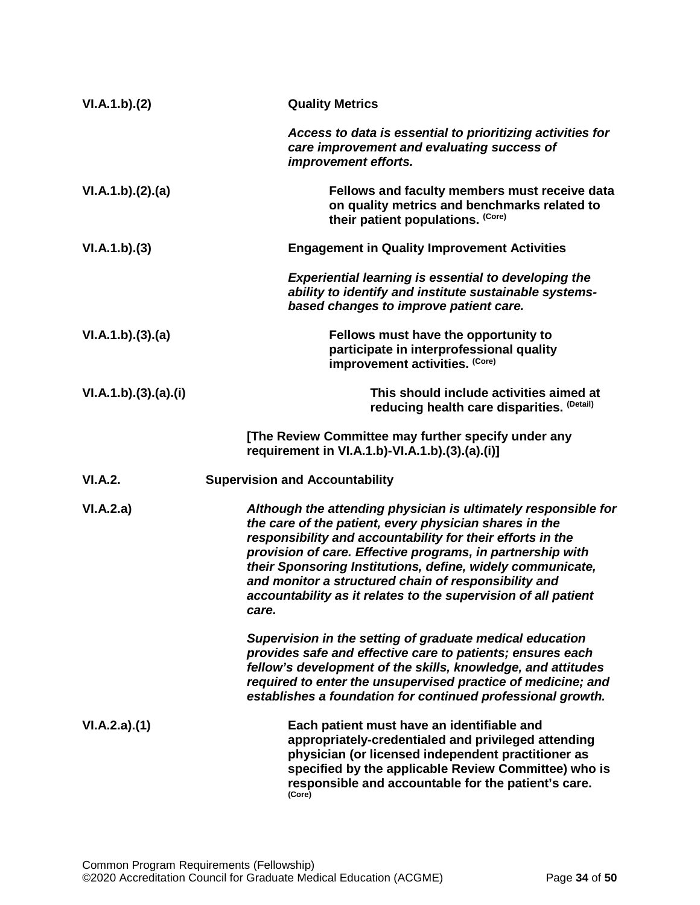| VI.A.1.b)(2)         | <b>Quality Metrics</b>                                                                                                                                                                                                                                                                                                                                                                                                                                |
|----------------------|-------------------------------------------------------------------------------------------------------------------------------------------------------------------------------------------------------------------------------------------------------------------------------------------------------------------------------------------------------------------------------------------------------------------------------------------------------|
|                      | Access to data is essential to prioritizing activities for<br>care improvement and evaluating success of<br>improvement efforts.                                                                                                                                                                                                                                                                                                                      |
| VI.A.1.b)(2).(a)     | Fellows and faculty members must receive data<br>on quality metrics and benchmarks related to<br>their patient populations. (Core)                                                                                                                                                                                                                                                                                                                    |
| VI.A.1.b)(3)         | <b>Engagement in Quality Improvement Activities</b>                                                                                                                                                                                                                                                                                                                                                                                                   |
|                      | <b>Experiential learning is essential to developing the</b><br>ability to identify and institute sustainable systems-<br>based changes to improve patient care.                                                                                                                                                                                                                                                                                       |
| VI.A.1.b)(3)(a)      | Fellows must have the opportunity to<br>participate in interprofessional quality<br>improvement activities. (Core)                                                                                                                                                                                                                                                                                                                                    |
| VI.A.1.b)(3).(a).(i) | This should include activities aimed at<br>reducing health care disparities. (Detail)                                                                                                                                                                                                                                                                                                                                                                 |
|                      | [The Review Committee may further specify under any<br>requirement in VI.A.1.b)-VI.A.1.b).(3).(a).(i)]                                                                                                                                                                                                                                                                                                                                                |
| VI.A.2.              | <b>Supervision and Accountability</b>                                                                                                                                                                                                                                                                                                                                                                                                                 |
| VI.A.2.a)            | Although the attending physician is ultimately responsible for<br>the care of the patient, every physician shares in the<br>responsibility and accountability for their efforts in the<br>provision of care. Effective programs, in partnership with<br>their Sponsoring Institutions, define, widely communicate,<br>and monitor a structured chain of responsibility and<br>accountability as it relates to the supervision of all patient<br>care. |
|                      | Supervision in the setting of graduate medical education<br>provides safe and effective care to patients; ensures each<br>fellow's development of the skills, knowledge, and attitudes<br>required to enter the unsupervised practice of medicine; and<br>establishes a foundation for continued professional growth.                                                                                                                                 |
| VI.A.2.a)(1)         | Each patient must have an identifiable and<br>appropriately-credentialed and privileged attending<br>physician (or licensed independent practitioner as<br>specified by the applicable Review Committee) who is<br>responsible and accountable for the patient's care.<br>(Core)                                                                                                                                                                      |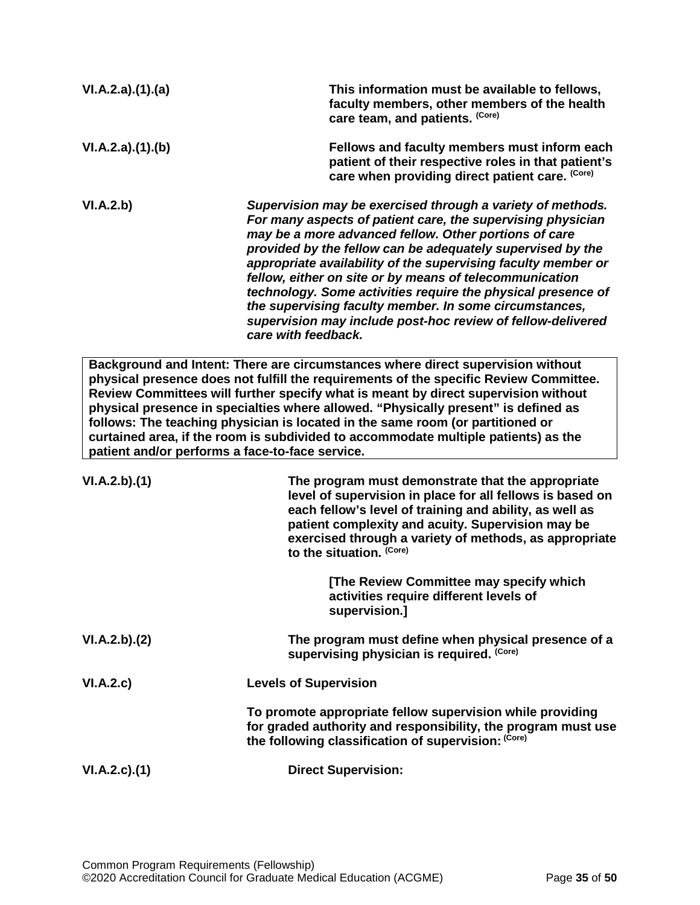| VI.A.2.a)(1).(a) | This information must be available to fellows,<br>faculty members, other members of the health<br>care team, and patients. (Core)                                                                                                                                                                                                                                                                                                                                                                                                                                                            |
|------------------|----------------------------------------------------------------------------------------------------------------------------------------------------------------------------------------------------------------------------------------------------------------------------------------------------------------------------------------------------------------------------------------------------------------------------------------------------------------------------------------------------------------------------------------------------------------------------------------------|
| VI.A.2.a)(1).(b) | Fellows and faculty members must inform each<br>patient of their respective roles in that patient's<br>care when providing direct patient care. (Core)                                                                                                                                                                                                                                                                                                                                                                                                                                       |
| VI.A.2.b)        | Supervision may be exercised through a variety of methods.<br>For many aspects of patient care, the supervising physician<br>may be a more advanced fellow. Other portions of care<br>provided by the fellow can be adequately supervised by the<br>appropriate availability of the supervising faculty member or<br>fellow, either on site or by means of telecommunication<br>technology. Some activities require the physical presence of<br>the supervising faculty member. In some circumstances,<br>supervision may include post-hoc review of fellow-delivered<br>care with feedback. |
|                  | Background and Intent: There are circumstances where direct supervision without<br>physical presence does not fulfill the requirements of the specific Review Committee.<br>Review Committees will further specify what is meant by direct supervision without<br>physical presence in specialties where allowed. "Physically present" is defined as<br>follows: The teaching physician is located in the same room (or partitioned or<br>curtained area, if the room is subdivided to accommodate multiple patients) as the<br>patient and/or performs a face-to-face service.              |
| VI.A.2.b)(1)     | The program must demonstrate that the appropriate<br>level of supervision in place for all fellows is based on<br>each fellow's level of training and ability, as well as<br>patient complexity and acuity. Supervision may be<br>exercised through a variety of methods, as appropriate<br>to the situation. (Core)                                                                                                                                                                                                                                                                         |
|                  | [The Review Committee may specify which<br>activities require different levels of<br>supervision.]                                                                                                                                                                                                                                                                                                                                                                                                                                                                                           |
| VI.A.2.b)(2)     | The program must define when physical presence of a<br>supervising physician is required. (Core)                                                                                                                                                                                                                                                                                                                                                                                                                                                                                             |
| VI.A.2.c)        | <b>Levels of Supervision</b>                                                                                                                                                                                                                                                                                                                                                                                                                                                                                                                                                                 |
|                  | To promote appropriate fellow supervision while providing<br>for graded authority and responsibility, the program must use                                                                                                                                                                                                                                                                                                                                                                                                                                                                   |

**the following classification of supervision: (Core)**

**VI.A.2.c).(1) Direct Supervision:**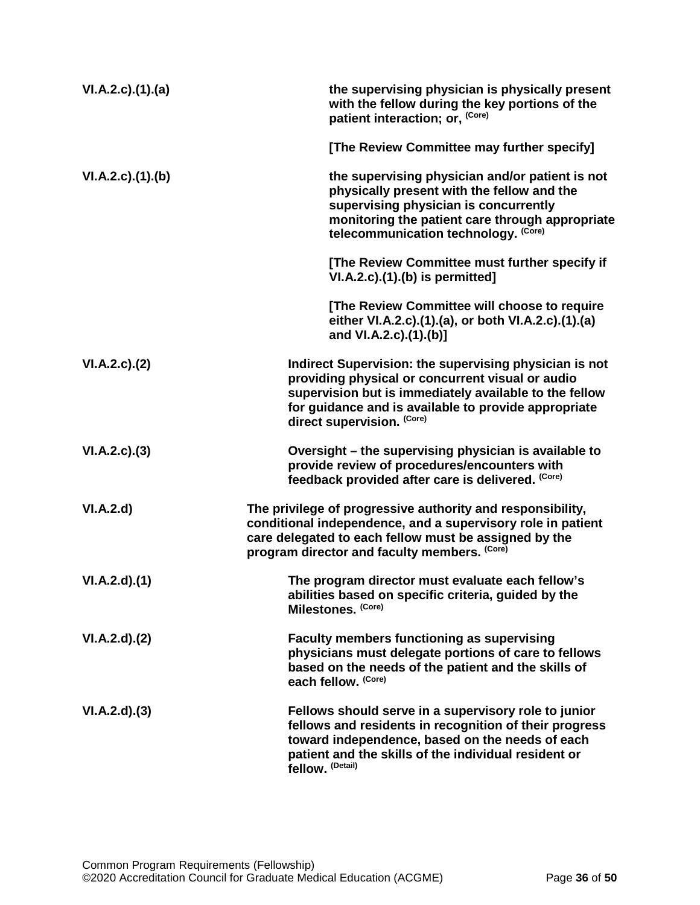| VI.A.2.c)(1).(a) | the supervising physician is physically present<br>with the fellow during the key portions of the<br>patient interaction; or, (Core)                                                                                                                       |
|------------------|------------------------------------------------------------------------------------------------------------------------------------------------------------------------------------------------------------------------------------------------------------|
|                  | [The Review Committee may further specify]                                                                                                                                                                                                                 |
| VI.A.2.c)(1)(b)  | the supervising physician and/or patient is not<br>physically present with the fellow and the<br>supervising physician is concurrently<br>monitoring the patient care through appropriate<br>telecommunication technology. (Core)                          |
|                  | [The Review Committee must further specify if<br>$VI.A.2.c$ . $(1).$ (b) is permitted]                                                                                                                                                                     |
|                  | [The Review Committee will choose to require<br>either VI.A.2.c).(1).(a), or both VI.A.2.c).(1).(a)<br>and VI.A.2.c).(1).(b)]                                                                                                                              |
| VI.A.2.c.2()     | Indirect Supervision: the supervising physician is not<br>providing physical or concurrent visual or audio<br>supervision but is immediately available to the fellow<br>for guidance and is available to provide appropriate<br>direct supervision. (Core) |
| VI.A.2.c.(3)     | Oversight - the supervising physician is available to<br>provide review of procedures/encounters with<br>feedback provided after care is delivered. (Core)                                                                                                 |
| VI.A.2.d         | The privilege of progressive authority and responsibility,<br>conditional independence, and a supervisory role in patient<br>care delegated to each fellow must be assigned by the<br>program director and faculty members. (Core)                         |
| VI.A.2.d)(1)     | The program director must evaluate each fellow's<br>abilities based on specific criteria, guided by the<br>Milestones. (Core)                                                                                                                              |
| VI.A.2.d)(2)     | <b>Faculty members functioning as supervising</b><br>physicians must delegate portions of care to fellows<br>based on the needs of the patient and the skills of<br>each fellow. (Core)                                                                    |
| VI.A.2.d)(3)     | Fellows should serve in a supervisory role to junior<br>fellows and residents in recognition of their progress<br>toward independence, based on the needs of each<br>patient and the skills of the individual resident or<br>fellow. (Detail)              |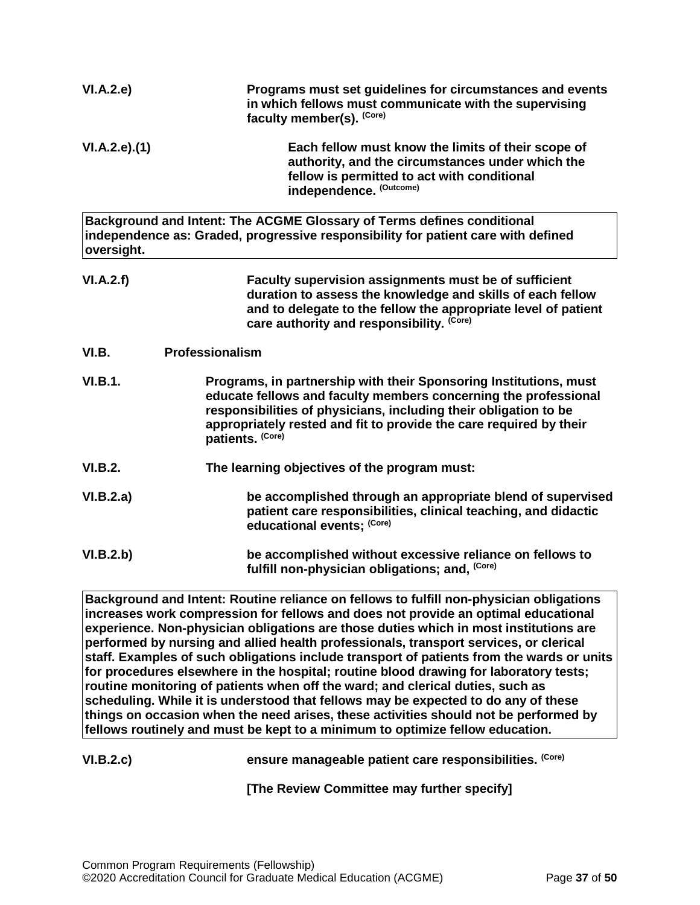| VI.A.2.e)      | Programs must set guidelines for circumstances and events<br>in which fellows must communicate with the supervising<br>faculty member(s). (Core)                                                                                                                                                   |
|----------------|----------------------------------------------------------------------------------------------------------------------------------------------------------------------------------------------------------------------------------------------------------------------------------------------------|
| VI.A.2.e.(1)   | Each fellow must know the limits of their scope of<br>authority, and the circumstances under which the<br>fellow is permitted to act with conditional<br>independence. (Outcome)                                                                                                                   |
| oversight.     | Background and Intent: The ACGME Glossary of Terms defines conditional<br>independence as: Graded, progressive responsibility for patient care with defined                                                                                                                                        |
| VI.A.2.f)      | Faculty supervision assignments must be of sufficient<br>duration to assess the knowledge and skills of each fellow<br>and to delegate to the fellow the appropriate level of patient<br>care authority and responsibility. (Core)                                                                 |
| VI.B.          | Professionalism                                                                                                                                                                                                                                                                                    |
| <b>VI.B.1.</b> | Programs, in partnership with their Sponsoring Institutions, must<br>educate fellows and faculty members concerning the professional<br>responsibilities of physicians, including their obligation to be<br>appropriately rested and fit to provide the care required by their<br>patients. (Core) |
| <b>VI.B.2.</b> | The learning objectives of the program must:                                                                                                                                                                                                                                                       |
| VI.B.2.a)      | be accomplished through an appropriate blend of supervised<br>patient care responsibilities, clinical teaching, and didactic<br>educational events; (Core)                                                                                                                                         |
| VI.B.2.b)      | be accomplished without excessive reliance on fellows to<br>fulfill non-physician obligations; and, (Core)                                                                                                                                                                                         |
| lm.            | .<br>Listo de la facto de la<br>والمتفاويات<br>.<br>a dia 14.0000 metat<br>والأفاد<br>a 1.<br>.<br>والمترافق المناور<br>в.                                                                                                                                                                         |

<span id="page-36-0"></span>**Background and Intent: Routine reliance on fellows to fulfill non-physician obligations increases work compression for fellows and does not provide an optimal educational experience. Non-physician obligations are those duties which in most institutions are performed by nursing and allied health professionals, transport services, or clerical staff. Examples of such obligations include transport of patients from the wards or units for procedures elsewhere in the hospital; routine blood drawing for laboratory tests; routine monitoring of patients when off the ward; and clerical duties, such as scheduling. While it is understood that fellows may be expected to do any of these things on occasion when the need arises, these activities should not be performed by fellows routinely and must be kept to a minimum to optimize fellow education.**

VI.B.2.c) *ensure manageable patient care responsibilities.* **(Core)** 

**[The Review Committee may further specify]**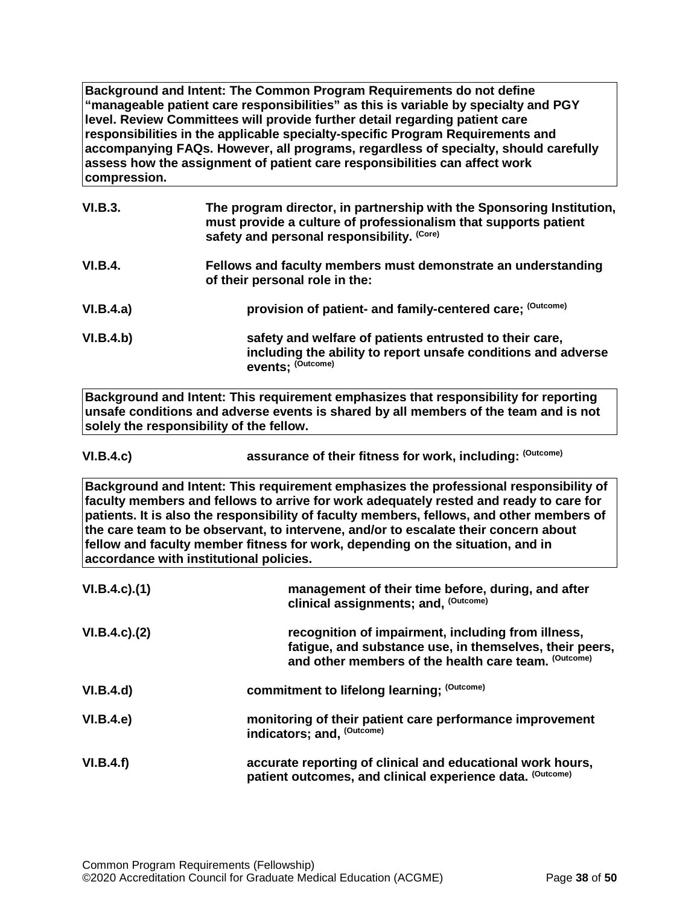**Background and Intent: The Common Program Requirements do not define "manageable patient care responsibilities" as this is variable by specialty and PGY level. Review Committees will provide further detail regarding patient care responsibilities in the applicable specialty-specific Program Requirements and accompanying FAQs. However, all programs, regardless of specialty, should carefully assess how the assignment of patient care responsibilities can affect work compression.**

| VI.B.3.        | The program director, in partnership with the Sponsoring Institution,<br>must provide a culture of professionalism that supports patient<br>safety and personal responsibility. (Core) |
|----------------|----------------------------------------------------------------------------------------------------------------------------------------------------------------------------------------|
| <b>VI.B.4.</b> | Fellows and faculty members must demonstrate an understanding<br>of their personal role in the:                                                                                        |
| VI.B.4.a)      | provision of patient- and family-centered care; (Outcome)                                                                                                                              |
| VI.B.4.b)      | safety and welfare of patients entrusted to their care,<br>including the ability to report unsafe conditions and adverse<br>events; (Outcome)                                          |

**Background and Intent: This requirement emphasizes that responsibility for reporting unsafe conditions and adverse events is shared by all members of the team and is not solely the responsibility of the fellow.**

| <b>VI.B.4.c)</b> | assurance of their fitness for work, including: (Outcome) |
|------------------|-----------------------------------------------------------|
|------------------|-----------------------------------------------------------|

**Background and Intent: This requirement emphasizes the professional responsibility of faculty members and fellows to arrive for work adequately rested and ready to care for patients. It is also the responsibility of faculty members, fellows, and other members of the care team to be observant, to intervene, and/or to escalate their concern about fellow and faculty member fitness for work, depending on the situation, and in accordance with institutional policies.**

| $VI.B.4.c$ ). $(1)$ | management of their time before, during, and after<br>clinical assignments; and, (Outcome)                                                                            |
|---------------------|-----------------------------------------------------------------------------------------------------------------------------------------------------------------------|
| $VI.B.4.c$ ). $(2)$ | recognition of impairment, including from illness,<br>fatigue, and substance use, in themselves, their peers,<br>and other members of the health care team. (Outcome) |
| VI.B.4.d)           | commitment to lifelong learning; (Outcome)                                                                                                                            |
| VI.B.4.e            | monitoring of their patient care performance improvement<br>indicators; and, (Outcome)                                                                                |
| VI.B.4.f)           | accurate reporting of clinical and educational work hours,<br>patient outcomes, and clinical experience data. (Outcome)                                               |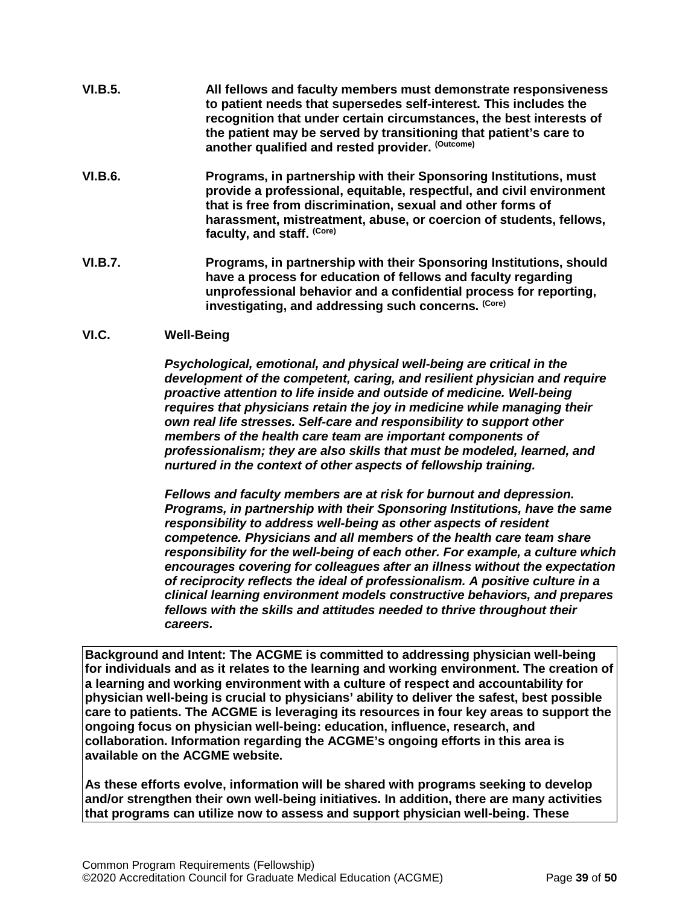- **VI.B.5. All fellows and faculty members must demonstrate responsiveness to patient needs that supersedes self-interest. This includes the recognition that under certain circumstances, the best interests of the patient may be served by transitioning that patient's care to another qualified and rested provider. (Outcome)**
- **VI.B.6. Programs, in partnership with their Sponsoring Institutions, must provide a professional, equitable, respectful, and civil environment that is free from discrimination, sexual and other forms of harassment, mistreatment, abuse, or coercion of students, fellows, faculty, and staff. (Core)**
- **VI.B.7. Programs, in partnership with their Sponsoring Institutions, should have a process for education of fellows and faculty regarding unprofessional behavior and a confidential process for reporting, investigating, and addressing such concerns. (Core)**

# <span id="page-38-0"></span>**VI.C. Well-Being**

*Psychological, emotional, and physical well-being are critical in the development of the competent, caring, and resilient physician and require proactive attention to life inside and outside of medicine. Well-being requires that physicians retain the joy in medicine while managing their own real life stresses. Self-care and responsibility to support other members of the health care team are important components of professionalism; they are also skills that must be modeled, learned, and nurtured in the context of other aspects of fellowship training.*

*Fellows and faculty members are at risk for burnout and depression. Programs, in partnership with their Sponsoring Institutions, have the same responsibility to address well-being as other aspects of resident competence. Physicians and all members of the health care team share responsibility for the well-being of each other. For example, a culture which encourages covering for colleagues after an illness without the expectation of reciprocity reflects the ideal of professionalism. A positive culture in a clinical learning environment models constructive behaviors, and prepares fellows with the skills and attitudes needed to thrive throughout their careers.*

**Background and Intent: The ACGME is committed to addressing physician well-being for individuals and as it relates to the learning and working environment. The creation of a learning and working environment with a culture of respect and accountability for physician well-being is crucial to physicians' ability to deliver the safest, best possible care to patients. The ACGME is leveraging its resources in four key areas to support the ongoing focus on physician well-being: education, influence, research, and collaboration. Information regarding the ACGME's ongoing efforts in this area is available on the ACGME website.**

**As these efforts evolve, information will be shared with programs seeking to develop and/or strengthen their own well-being initiatives. In addition, there are many activities that programs can utilize now to assess and support physician well-being. These**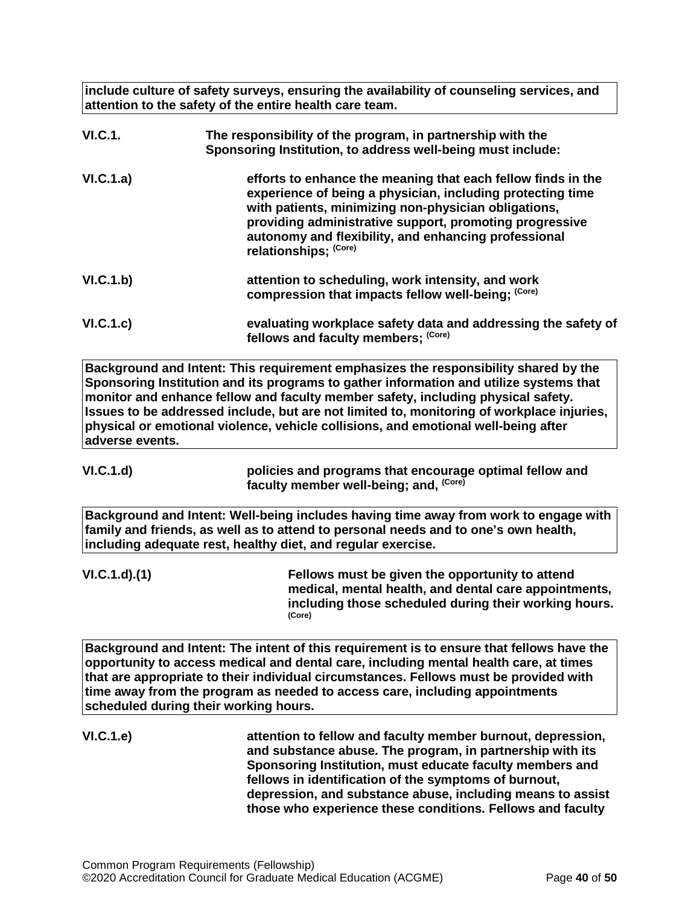**include culture of safety surveys, ensuring the availability of counseling services, and attention to the safety of the entire health care team.**

| <b>VI.C.1.</b> | The responsibility of the program, in partnership with the<br>Sponsoring Institution, to address well-being must include:                                                                                                                                                                                                      |
|----------------|--------------------------------------------------------------------------------------------------------------------------------------------------------------------------------------------------------------------------------------------------------------------------------------------------------------------------------|
| VI.C.1.a)      | efforts to enhance the meaning that each fellow finds in the<br>experience of being a physician, including protecting time<br>with patients, minimizing non-physician obligations,<br>providing administrative support, promoting progressive<br>autonomy and flexibility, and enhancing professional<br>relationships; (Core) |
| VI.C.1.b)      | attention to scheduling, work intensity, and work<br>compression that impacts fellow well-being; (Core)                                                                                                                                                                                                                        |
| VI.C.1.c)      | evaluating workplace safety data and addressing the safety of<br>fellows and faculty members; (Core)                                                                                                                                                                                                                           |

**Background and Intent: This requirement emphasizes the responsibility shared by the Sponsoring Institution and its programs to gather information and utilize systems that monitor and enhance fellow and faculty member safety, including physical safety. Issues to be addressed include, but are not limited to, monitoring of workplace injuries, physical or emotional violence, vehicle collisions, and emotional well-being after adverse events.**

**VI.C.1.d) policies and programs that encourage optimal fellow and faculty member well-being; and, (Core)**

**Background and Intent: Well-being includes having time away from work to engage with family and friends, as well as to attend to personal needs and to one's own health, including adequate rest, healthy diet, and regular exercise.**

**VI.C.1.d).(1) Fellows must be given the opportunity to attend medical, mental health, and dental care appointments, including those scheduled during their working hours. (Core)**

**Background and Intent: The intent of this requirement is to ensure that fellows have the opportunity to access medical and dental care, including mental health care, at times that are appropriate to their individual circumstances. Fellows must be provided with time away from the program as needed to access care, including appointments scheduled during their working hours.**

**VI.C.1.e) attention to fellow and faculty member burnout, depression, and substance abuse. The program, in partnership with its Sponsoring Institution, must educate faculty members and fellows in identification of the symptoms of burnout, depression, and substance abuse, including means to assist those who experience these conditions. Fellows and faculty**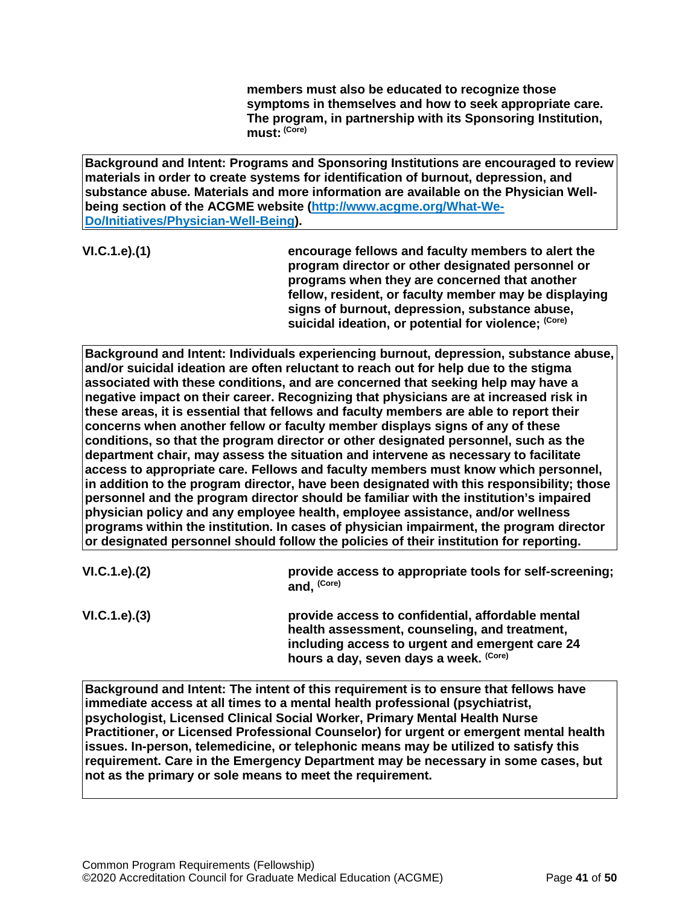**members must also be educated to recognize those symptoms in themselves and how to seek appropriate care. The program, in partnership with its Sponsoring Institution, must: (Core)**

**Background and Intent: Programs and Sponsoring Institutions are encouraged to review materials in order to create systems for identification of burnout, depression, and substance abuse. Materials and more information are available on the Physician Wellbeing section of the ACGME website [\(http://www.acgme.org/What-We-](http://www.acgme.org/What-We-Do/Initiatives/Physician-Well-Being)[Do/Initiatives/Physician-Well-Being\)](http://www.acgme.org/What-We-Do/Initiatives/Physician-Well-Being).**

**VI.C.1.e).(1) encourage fellows and faculty members to alert the program director or other designated personnel or programs when they are concerned that another fellow, resident, or faculty member may be displaying signs of burnout, depression, substance abuse, suicidal ideation, or potential for violence; (Core)**

**Background and Intent: Individuals experiencing burnout, depression, substance abuse, and/or suicidal ideation are often reluctant to reach out for help due to the stigma associated with these conditions, and are concerned that seeking help may have a negative impact on their career. Recognizing that physicians are at increased risk in these areas, it is essential that fellows and faculty members are able to report their concerns when another fellow or faculty member displays signs of any of these conditions, so that the program director or other designated personnel, such as the department chair, may assess the situation and intervene as necessary to facilitate access to appropriate care. Fellows and faculty members must know which personnel, in addition to the program director, have been designated with this responsibility; those personnel and the program director should be familiar with the institution's impaired physician policy and any employee health, employee assistance, and/or wellness programs within the institution. In cases of physician impairment, the program director or designated personnel should follow the policies of their institution for reporting.**

| VI.C.1.e). (2) | provide access to appropriate tools for self-screening;<br>and, (Core)                                                                                                                          |
|----------------|-------------------------------------------------------------------------------------------------------------------------------------------------------------------------------------------------|
| VI.C.1.e). (3) | provide access to confidential, affordable mental<br>health assessment, counseling, and treatment,<br>including access to urgent and emergent care 24<br>hours a day, seven days a week. (Core) |

**Background and Intent: The intent of this requirement is to ensure that fellows have immediate access at all times to a mental health professional (psychiatrist, psychologist, Licensed Clinical Social Worker, Primary Mental Health Nurse Practitioner, or Licensed Professional Counselor) for urgent or emergent mental health issues. In-person, telemedicine, or telephonic means may be utilized to satisfy this requirement. Care in the Emergency Department may be necessary in some cases, but not as the primary or sole means to meet the requirement.**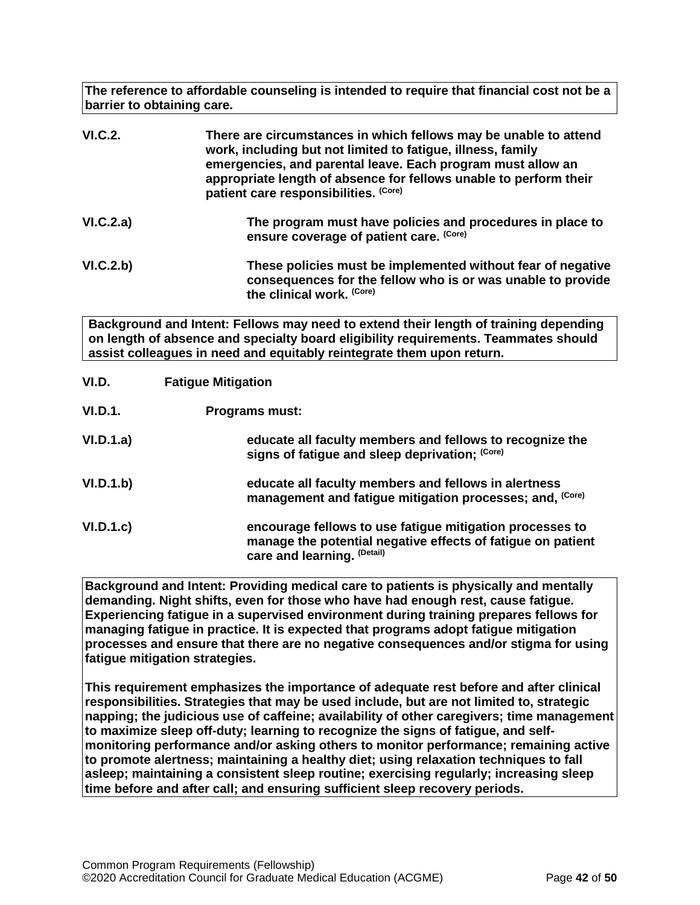**The reference to affordable counseling is intended to require that financial cost not be a barrier to obtaining care.**

| <b>VI.C.2.</b> | There are circumstances in which fellows may be unable to attend<br>work, including but not limited to fatigue, illness, family<br>emergencies, and parental leave. Each program must allow an<br>appropriate length of absence for fellows unable to perform their<br>patient care responsibilities. (Core) |
|----------------|--------------------------------------------------------------------------------------------------------------------------------------------------------------------------------------------------------------------------------------------------------------------------------------------------------------|
| VI.C.2.a)      | The program must have policies and procedures in place to<br>ensure coverage of patient care. (Core)                                                                                                                                                                                                         |
| VI.C.2.b)      | These policies must be implemented without fear of negative<br>consequences for the fellow who is or was unable to provide<br>the clinical work. (Core)                                                                                                                                                      |

**Background and Intent: Fellows may need to extend their length of training depending on length of absence and specialty board eligibility requirements. Teammates should assist colleagues in need and equitably reintegrate them upon return.**

<span id="page-41-0"></span>

| VI.D.     | <b>Fatigue Mitigation</b>                                                                                                                              |
|-----------|--------------------------------------------------------------------------------------------------------------------------------------------------------|
| VI.D.1.   | <b>Programs must:</b>                                                                                                                                  |
| VI.D.1.a) | educate all faculty members and fellows to recognize the<br>signs of fatigue and sleep deprivation; (Core)                                             |
| VI.D.1.b) | educate all faculty members and fellows in alertness<br>management and fatigue mitigation processes; and, (Core)                                       |
| VI.D.1.c  | encourage fellows to use fatigue mitigation processes to<br>manage the potential negative effects of fatigue on patient<br>care and learning. (Detail) |

**Background and Intent: Providing medical care to patients is physically and mentally demanding. Night shifts, even for those who have had enough rest, cause fatigue. Experiencing fatigue in a supervised environment during training prepares fellows for managing fatigue in practice. It is expected that programs adopt fatigue mitigation processes and ensure that there are no negative consequences and/or stigma for using fatigue mitigation strategies.**

**This requirement emphasizes the importance of adequate rest before and after clinical responsibilities. Strategies that may be used include, but are not limited to, strategic napping; the judicious use of caffeine; availability of other caregivers; time management to maximize sleep off-duty; learning to recognize the signs of fatigue, and selfmonitoring performance and/or asking others to monitor performance; remaining active to promote alertness; maintaining a healthy diet; using relaxation techniques to fall asleep; maintaining a consistent sleep routine; exercising regularly; increasing sleep time before and after call; and ensuring sufficient sleep recovery periods.**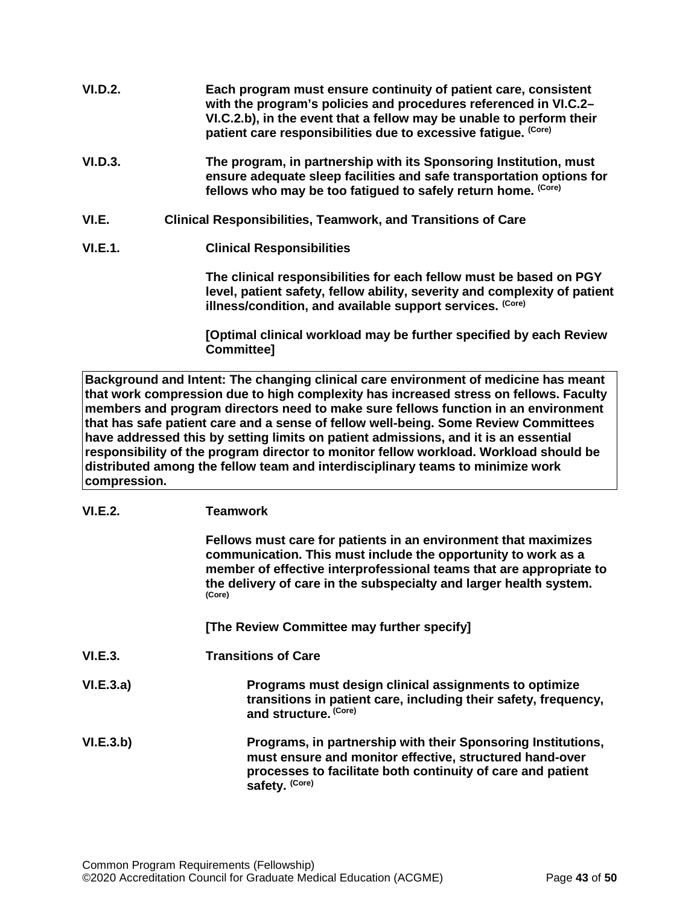| <b>VI.D.2.</b> | Each program must ensure continuity of patient care, consistent<br>with the program's policies and procedures referenced in VI.C.2–<br>VI.C.2.b), in the event that a fellow may be unable to perform their |
|----------------|-------------------------------------------------------------------------------------------------------------------------------------------------------------------------------------------------------------|
|                | patient care responsibilities due to excessive fatigue. (Core)                                                                                                                                              |

- **VI.D.3. The program, in partnership with its Sponsoring Institution, must ensure adequate sleep facilities and safe transportation options for fellows who may be too fatigued to safely return home. (Core)**
- <span id="page-42-0"></span>**VI.E. Clinical Responsibilities, Teamwork, and Transitions of Care**
- **VI.E.1. Clinical Responsibilities**

**The clinical responsibilities for each fellow must be based on PGY level, patient safety, fellow ability, severity and complexity of patient illness/condition, and available support services. (Core)**

**[Optimal clinical workload may be further specified by each Review Committee]**

**Background and Intent: The changing clinical care environment of medicine has meant that work compression due to high complexity has increased stress on fellows. Faculty members and program directors need to make sure fellows function in an environment that has safe patient care and a sense of fellow well-being. Some Review Committees have addressed this by setting limits on patient admissions, and it is an essential responsibility of the program director to monitor fellow workload. Workload should be distributed among the fellow team and interdisciplinary teams to minimize work compression.**

# **VI.E.2. Teamwork**

|                  | Fellows must care for patients in an environment that maximizes<br>communication. This must include the opportunity to work as a<br>member of effective interprofessional teams that are appropriate to<br>the delivery of care in the subspecialty and larger health system.<br>(Core) |
|------------------|-----------------------------------------------------------------------------------------------------------------------------------------------------------------------------------------------------------------------------------------------------------------------------------------|
|                  | [The Review Committee may further specify]                                                                                                                                                                                                                                              |
| <b>VI.E.3.</b>   | <b>Transitions of Care</b>                                                                                                                                                                                                                                                              |
| <b>VI.E.3.a)</b> | Programs must design clinical assignments to optimize<br>transitions in patient care, including their safety, frequency,<br>and structure. (Core)                                                                                                                                       |
| <b>VI.E.3.b)</b> | Programs, in partnership with their Sponsoring Institutions,<br>must ensure and monitor effective, structured hand-over<br>processes to facilitate both continuity of care and patient<br>safety. (Core)                                                                                |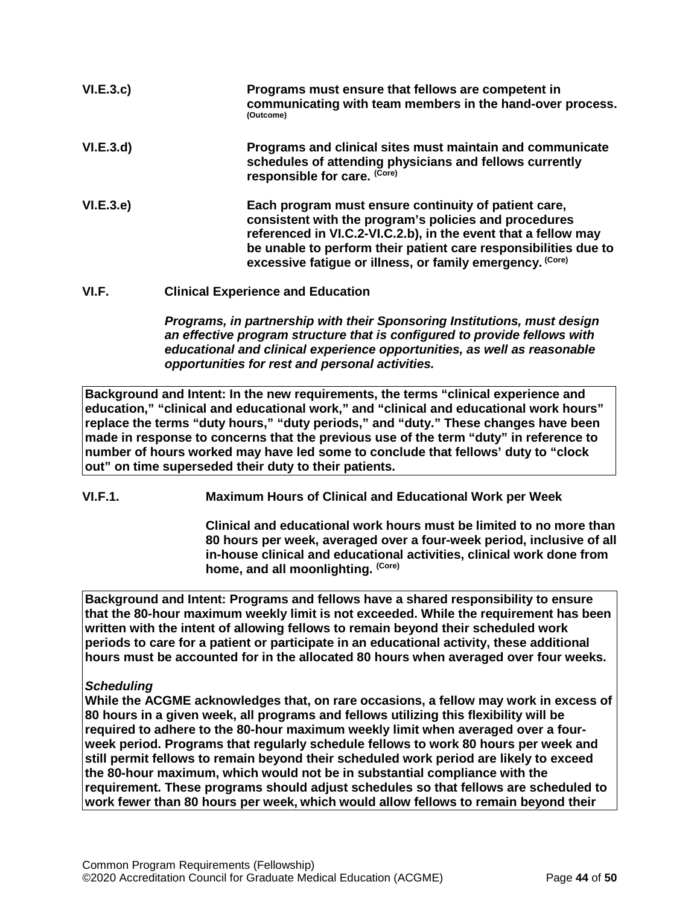| VI.E.3.c) | Programs must ensure that fellows are competent in<br>communicating with team members in the hand-over process.<br>(Outcome)                                                                                                                                                                                    |
|-----------|-----------------------------------------------------------------------------------------------------------------------------------------------------------------------------------------------------------------------------------------------------------------------------------------------------------------|
| VI.E.3.d) | Programs and clinical sites must maintain and communicate<br>schedules of attending physicians and fellows currently<br>responsible for care. (Core)                                                                                                                                                            |
| VI.E.3.e) | Each program must ensure continuity of patient care,<br>consistent with the program's policies and procedures<br>referenced in VI.C.2-VI.C.2.b), in the event that a fellow may<br>be unable to perform their patient care responsibilities due to<br>excessive fatigue or illness, or family emergency. (Core) |

<span id="page-43-0"></span>**VI.F. Clinical Experience and Education**

*Programs, in partnership with their Sponsoring Institutions, must design an effective program structure that is configured to provide fellows with educational and clinical experience opportunities, as well as reasonable opportunities for rest and personal activities.*

**Background and Intent: In the new requirements, the terms "clinical experience and education," "clinical and educational work," and "clinical and educational work hours" replace the terms "duty hours," "duty periods," and "duty." These changes have been made in response to concerns that the previous use of the term "duty" in reference to number of hours worked may have led some to conclude that fellows' duty to "clock out" on time superseded their duty to their patients.**

**VI.F.1. Maximum Hours of Clinical and Educational Work per Week**

**Clinical and educational work hours must be limited to no more than 80 hours per week, averaged over a four-week period, inclusive of all in-house clinical and educational activities, clinical work done from home, and all moonlighting. (Core)**

**Background and Intent: Programs and fellows have a shared responsibility to ensure that the 80-hour maximum weekly limit is not exceeded. While the requirement has been written with the intent of allowing fellows to remain beyond their scheduled work periods to care for a patient or participate in an educational activity, these additional hours must be accounted for in the allocated 80 hours when averaged over four weeks.**

# *Scheduling*

**While the ACGME acknowledges that, on rare occasions, a fellow may work in excess of 80 hours in a given week, all programs and fellows utilizing this flexibility will be required to adhere to the 80-hour maximum weekly limit when averaged over a fourweek period. Programs that regularly schedule fellows to work 80 hours per week and still permit fellows to remain beyond their scheduled work period are likely to exceed the 80-hour maximum, which would not be in substantial compliance with the requirement. These programs should adjust schedules so that fellows are scheduled to work fewer than 80 hours per week, which would allow fellows to remain beyond their**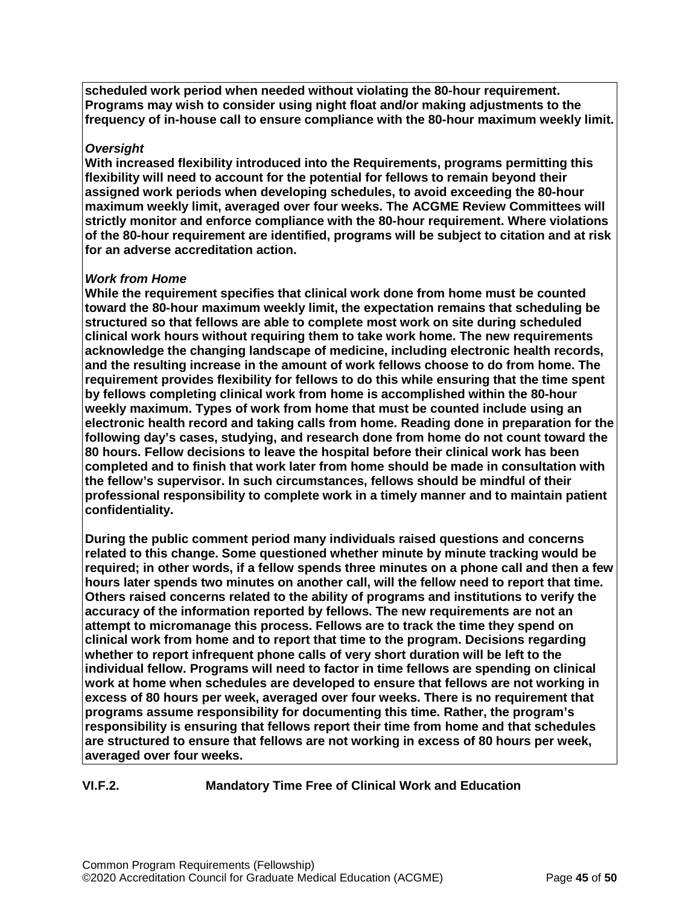**scheduled work period when needed without violating the 80-hour requirement. Programs may wish to consider using night float and/or making adjustments to the frequency of in-house call to ensure compliance with the 80-hour maximum weekly limit.**

#### *Oversight*

**With increased flexibility introduced into the Requirements, programs permitting this flexibility will need to account for the potential for fellows to remain beyond their assigned work periods when developing schedules, to avoid exceeding the 80-hour maximum weekly limit, averaged over four weeks. The ACGME Review Committees will strictly monitor and enforce compliance with the 80-hour requirement. Where violations of the 80-hour requirement are identified, programs will be subject to citation and at risk for an adverse accreditation action.**

#### *Work from Home*

**While the requirement specifies that clinical work done from home must be counted toward the 80-hour maximum weekly limit, the expectation remains that scheduling be structured so that fellows are able to complete most work on site during scheduled clinical work hours without requiring them to take work home. The new requirements acknowledge the changing landscape of medicine, including electronic health records, and the resulting increase in the amount of work fellows choose to do from home. The requirement provides flexibility for fellows to do this while ensuring that the time spent by fellows completing clinical work from home is accomplished within the 80-hour weekly maximum. Types of work from home that must be counted include using an electronic health record and taking calls from home. Reading done in preparation for the following day's cases, studying, and research done from home do not count toward the 80 hours. Fellow decisions to leave the hospital before their clinical work has been completed and to finish that work later from home should be made in consultation with the fellow's supervisor. In such circumstances, fellows should be mindful of their professional responsibility to complete work in a timely manner and to maintain patient confidentiality.**

**During the public comment period many individuals raised questions and concerns related to this change. Some questioned whether minute by minute tracking would be required; in other words, if a fellow spends three minutes on a phone call and then a few hours later spends two minutes on another call, will the fellow need to report that time. Others raised concerns related to the ability of programs and institutions to verify the accuracy of the information reported by fellows. The new requirements are not an attempt to micromanage this process. Fellows are to track the time they spend on clinical work from home and to report that time to the program. Decisions regarding whether to report infrequent phone calls of very short duration will be left to the individual fellow. Programs will need to factor in time fellows are spending on clinical work at home when schedules are developed to ensure that fellows are not working in excess of 80 hours per week, averaged over four weeks. There is no requirement that programs assume responsibility for documenting this time. Rather, the program's responsibility is ensuring that fellows report their time from home and that schedules are structured to ensure that fellows are not working in excess of 80 hours per week, averaged over four weeks.**

**VI.F.2. Mandatory Time Free of Clinical Work and Education**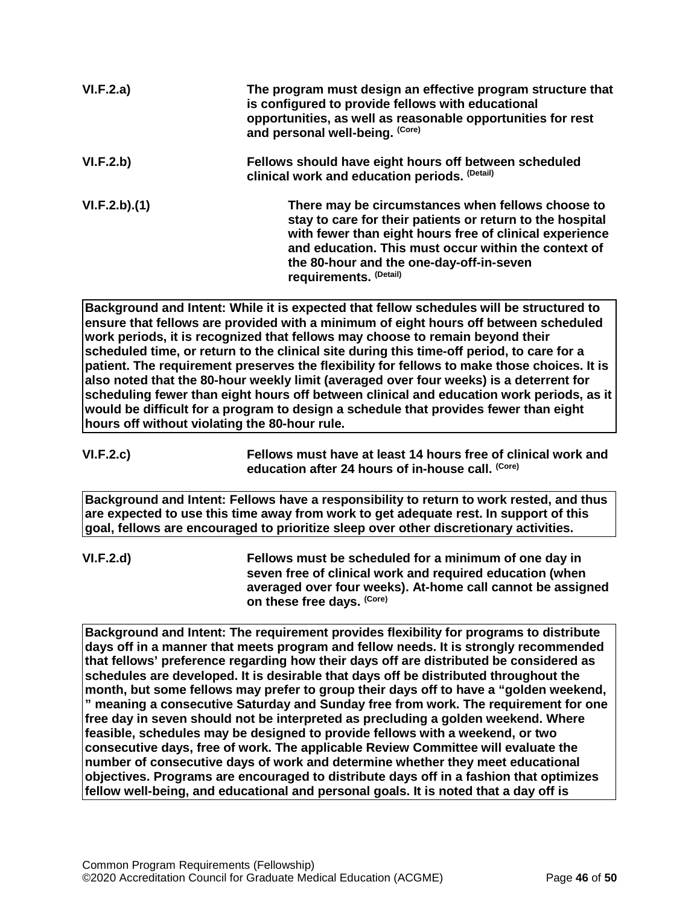| VI.F.2.a)    | The program must design an effective program structure that<br>is configured to provide fellows with educational<br>opportunities, as well as reasonable opportunities for rest<br>and personal well-being. (Core)                                                                                      |
|--------------|---------------------------------------------------------------------------------------------------------------------------------------------------------------------------------------------------------------------------------------------------------------------------------------------------------|
| VI.F.2.b)    | Fellows should have eight hours off between scheduled<br>clinical work and education periods. (Detail)                                                                                                                                                                                                  |
| VI.F.2.b)(1) | There may be circumstances when fellows choose to<br>stay to care for their patients or return to the hospital<br>with fewer than eight hours free of clinical experience<br>and education. This must occur within the context of<br>the 80-hour and the one-day-off-in-seven<br>requirements. (Detail) |

**Background and Intent: While it is expected that fellow schedules will be structured to ensure that fellows are provided with a minimum of eight hours off between scheduled work periods, it is recognized that fellows may choose to remain beyond their scheduled time, or return to the clinical site during this time-off period, to care for a patient. The requirement preserves the flexibility for fellows to make those choices. It is also noted that the 80-hour weekly limit (averaged over four weeks) is a deterrent for scheduling fewer than eight hours off between clinical and education work periods, as it would be difficult for a program to design a schedule that provides fewer than eight hours off without violating the 80-hour rule.**

**VI.F.2.c) Fellows must have at least 14 hours free of clinical work and education after 24 hours of in-house call. (Core)**

**Background and Intent: Fellows have a responsibility to return to work rested, and thus are expected to use this time away from work to get adequate rest. In support of this goal, fellows are encouraged to prioritize sleep over other discretionary activities.**

**VI.F.2.d) Fellows must be scheduled for a minimum of one day in seven free of clinical work and required education (when averaged over four weeks). At-home call cannot be assigned on these free days. (Core)**

**Background and Intent: The requirement provides flexibility for programs to distribute days off in a manner that meets program and fellow needs. It is strongly recommended that fellows' preference regarding how their days off are distributed be considered as schedules are developed. It is desirable that days off be distributed throughout the month, but some fellows may prefer to group their days off to have a "golden weekend, " meaning a consecutive Saturday and Sunday free from work. The requirement for one free day in seven should not be interpreted as precluding a golden weekend. Where feasible, schedules may be designed to provide fellows with a weekend, or two consecutive days, free of work. The applicable Review Committee will evaluate the number of consecutive days of work and determine whether they meet educational objectives. Programs are encouraged to distribute days off in a fashion that optimizes fellow well-being, and educational and personal goals. It is noted that a day off is**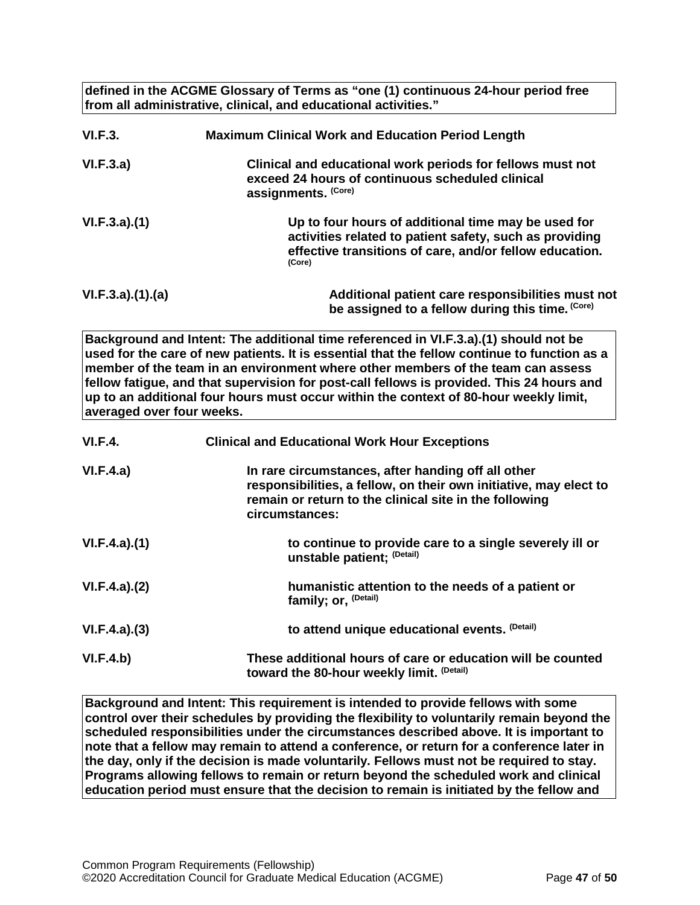**defined in the ACGME Glossary of Terms as "one (1) continuous 24-hour period free from all administrative, clinical, and educational activities."**

| <b>VI.F.3.</b>                              | <b>Maximum Clinical Work and Education Period Length</b>                                                                                                                                                                                                                                                                                                                                                                                                      |
|---------------------------------------------|---------------------------------------------------------------------------------------------------------------------------------------------------------------------------------------------------------------------------------------------------------------------------------------------------------------------------------------------------------------------------------------------------------------------------------------------------------------|
| VI.F.3.a)                                   | Clinical and educational work periods for fellows must not<br>exceed 24 hours of continuous scheduled clinical<br>assignments. (Core)                                                                                                                                                                                                                                                                                                                         |
| VI.F.3.a)(1)                                | Up to four hours of additional time may be used for<br>activities related to patient safety, such as providing<br>effective transitions of care, and/or fellow education.<br>(Core)                                                                                                                                                                                                                                                                           |
| VI.F.3.a)(1)(a)                             | Additional patient care responsibilities must not<br>be assigned to a fellow during this time. (Core)                                                                                                                                                                                                                                                                                                                                                         |
| averaged over four weeks.<br><b>VI.F.4.</b> | Background and Intent: The additional time referenced in VI.F.3.a).(1) should not be<br>used for the care of new patients. It is essential that the fellow continue to function as a<br>member of the team in an environment where other members of the team can assess<br>fellow fatigue, and that supervision for post-call fellows is provided. This 24 hours and<br>up to an additional four hours must occur within the context of 80-hour weekly limit, |
|                                             | <b>Clinical and Educational Work Hour Exceptions</b>                                                                                                                                                                                                                                                                                                                                                                                                          |
| VI.F.4.a)                                   | In rare circumstances, after handing off all other<br>responsibilities, a fellow, on their own initiative, may elect to<br>remain or return to the clinical site in the following<br>circumstances:                                                                                                                                                                                                                                                           |
| VI.F.4.a)(1)                                | to continue to provide care to a single severely ill or<br>unstable patient; (Detail)                                                                                                                                                                                                                                                                                                                                                                         |
| VI.F.4.a)(2)                                | humanistic attention to the needs of a patient or<br>family; or, (Detail)                                                                                                                                                                                                                                                                                                                                                                                     |
| VI.F.4.a)(3)                                | to attend unique educational events. (Detail)                                                                                                                                                                                                                                                                                                                                                                                                                 |
| VI.F.4.b)                                   | These additional hours of care or education will be counted<br>toward the 80-hour weekly limit. (Detail)                                                                                                                                                                                                                                                                                                                                                      |

**Background and Intent: This requirement is intended to provide fellows with some control over their schedules by providing the flexibility to voluntarily remain beyond the scheduled responsibilities under the circumstances described above. It is important to note that a fellow may remain to attend a conference, or return for a conference later in the day, only if the decision is made voluntarily. Fellows must not be required to stay. Programs allowing fellows to remain or return beyond the scheduled work and clinical education period must ensure that the decision to remain is initiated by the fellow and**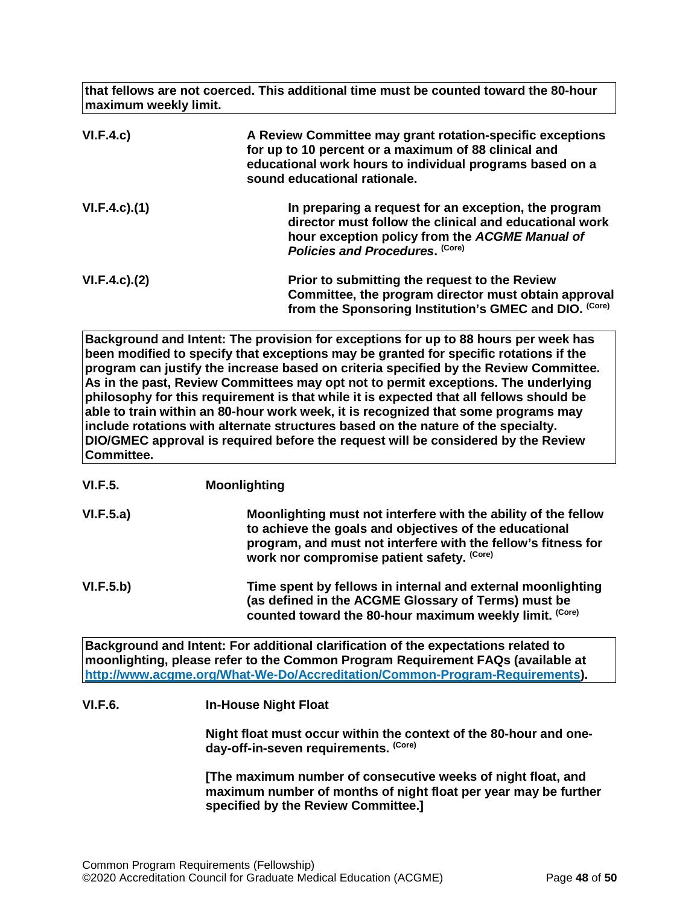**that fellows are not coerced. This additional time must be counted toward the 80-hour maximum weekly limit.**

| VI.F.4.c)           | A Review Committee may grant rotation-specific exceptions<br>for up to 10 percent or a maximum of 88 clinical and<br>educational work hours to individual programs based on a<br>sound educational rationale. |
|---------------------|---------------------------------------------------------------------------------------------------------------------------------------------------------------------------------------------------------------|
| $VI.F.4.c$ . $(1)$  | In preparing a request for an exception, the program<br>director must follow the clinical and educational work<br>hour exception policy from the ACGME Manual of<br>Policies and Procedures. (Core)           |
| $VI.F.4.c$ ). $(2)$ | Prior to submitting the request to the Review<br>Committee, the program director must obtain approval<br>from the Sponsoring Institution's GMEC and DIO. (Core)                                               |

**Background and Intent: The provision for exceptions for up to 88 hours per week has been modified to specify that exceptions may be granted for specific rotations if the program can justify the increase based on criteria specified by the Review Committee. As in the past, Review Committees may opt not to permit exceptions. The underlying philosophy for this requirement is that while it is expected that all fellows should be able to train within an 80-hour work week, it is recognized that some programs may include rotations with alternate structures based on the nature of the specialty. DIO/GMEC approval is required before the request will be considered by the Review Committee.**

- **VI.F.5. Moonlighting**
- **VI.F.5.a) Moonlighting must not interfere with the ability of the fellow to achieve the goals and objectives of the educational program, and must not interfere with the fellow's fitness for work nor compromise patient safety. (Core)**
- **VI.F.5.b) Time spent by fellows in internal and external moonlighting (as defined in the ACGME Glossary of Terms) must be**  counted toward the 80-hour maximum weekly limit. (Core)

**Background and Intent: For additional clarification of the expectations related to moonlighting, please refer to the Common Program Requirement FAQs (available at [http://www.acgme.org/What-We-Do/Accreditation/Common-Program-Requirements\)](http://www.acgme.org/What-We-Do/Accreditation/Common-Program-Requirements).**

# **VI.F.6. In-House Night Float**

**Night float must occur within the context of the 80-hour and oneday-off-in-seven requirements. (Core)**

**[The maximum number of consecutive weeks of night float, and maximum number of months of night float per year may be further specified by the Review Committee.]**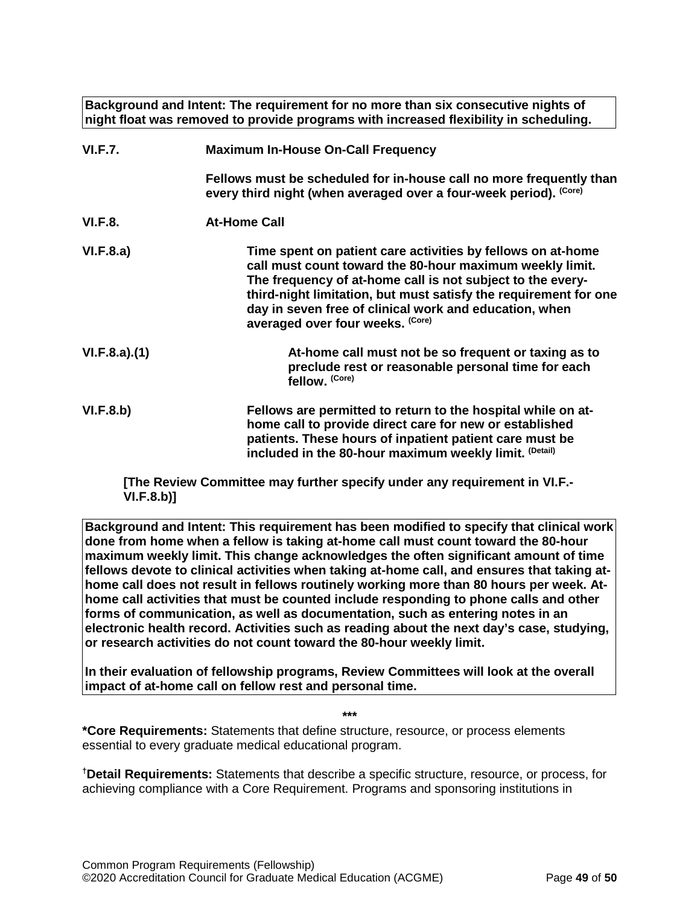**Background and Intent: The requirement for no more than six consecutive nights of night float was removed to provide programs with increased flexibility in scheduling.**

| <b>VI.F.7.</b> | <b>Maximum In-House On-Call Frequency</b>                                                                                                                                                                                                                                                                                                               |
|----------------|---------------------------------------------------------------------------------------------------------------------------------------------------------------------------------------------------------------------------------------------------------------------------------------------------------------------------------------------------------|
|                | Fellows must be scheduled for in-house call no more frequently than<br>every third night (when averaged over a four-week period). (Core)                                                                                                                                                                                                                |
| <b>VI.F.8.</b> | <b>At-Home Call</b>                                                                                                                                                                                                                                                                                                                                     |
| VI.F.8.a)      | Time spent on patient care activities by fellows on at-home<br>call must count toward the 80-hour maximum weekly limit.<br>The frequency of at-home call is not subject to the every-<br>third-night limitation, but must satisfy the requirement for one<br>day in seven free of clinical work and education, when<br>averaged over four weeks. (Core) |
| VI.F.8.a)(1)   | At-home call must not be so frequent or taxing as to<br>preclude rest or reasonable personal time for each<br>fellow. (Core)                                                                                                                                                                                                                            |
| VI.F.8.b)      | Fellows are permitted to return to the hospital while on at-<br>home call to provide direct care for new or established<br>patients. These hours of inpatient patient care must be<br>included in the 80-hour maximum weekly limit. (Detail)                                                                                                            |

**[The Review Committee may further specify under any requirement in VI.F.- VI.F.8.b)]**

**Background and Intent: This requirement has been modified to specify that clinical work done from home when a fellow is taking at-home call must count toward the 80-hour maximum weekly limit. This change acknowledges the often significant amount of time fellows devote to clinical activities when taking at-home call, and ensures that taking athome call does not result in fellows routinely working more than 80 hours per week. Athome call activities that must be counted include responding to phone calls and other forms of communication, as well as documentation, such as entering notes in an electronic health record. Activities such as reading about the next day's case, studying, or research activities do not count toward the 80-hour weekly limit.**

**In their evaluation of fellowship programs, Review Committees will look at the overall impact of at-home call on fellow rest and personal time.**

**\*\*\***

**\*Core Requirements:** Statements that define structure, resource, or process elements essential to every graduate medical educational program.

**† Detail Requirements:** Statements that describe a specific structure, resource, or process, for achieving compliance with a Core Requirement. Programs and sponsoring institutions in